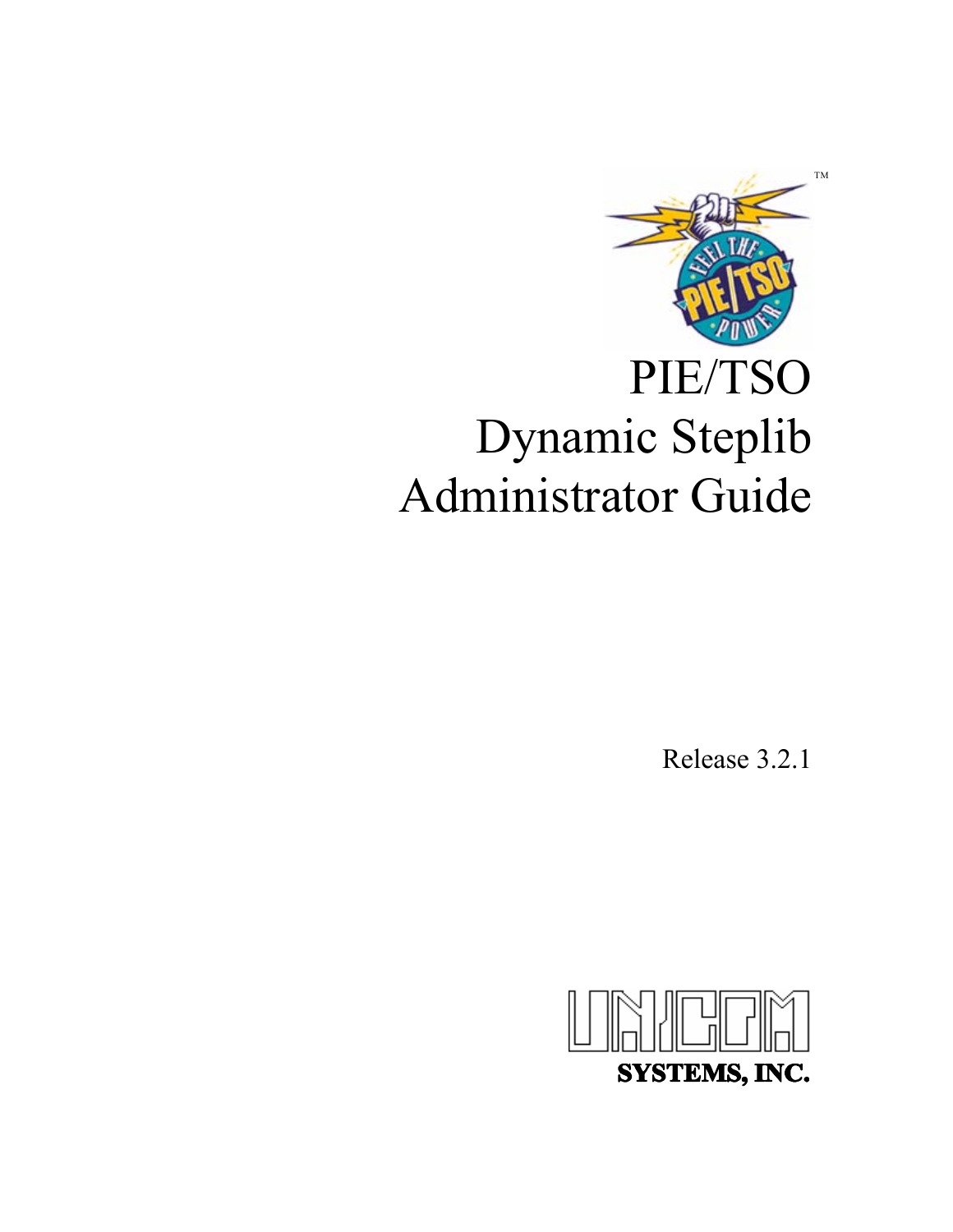

Release 3.2.1

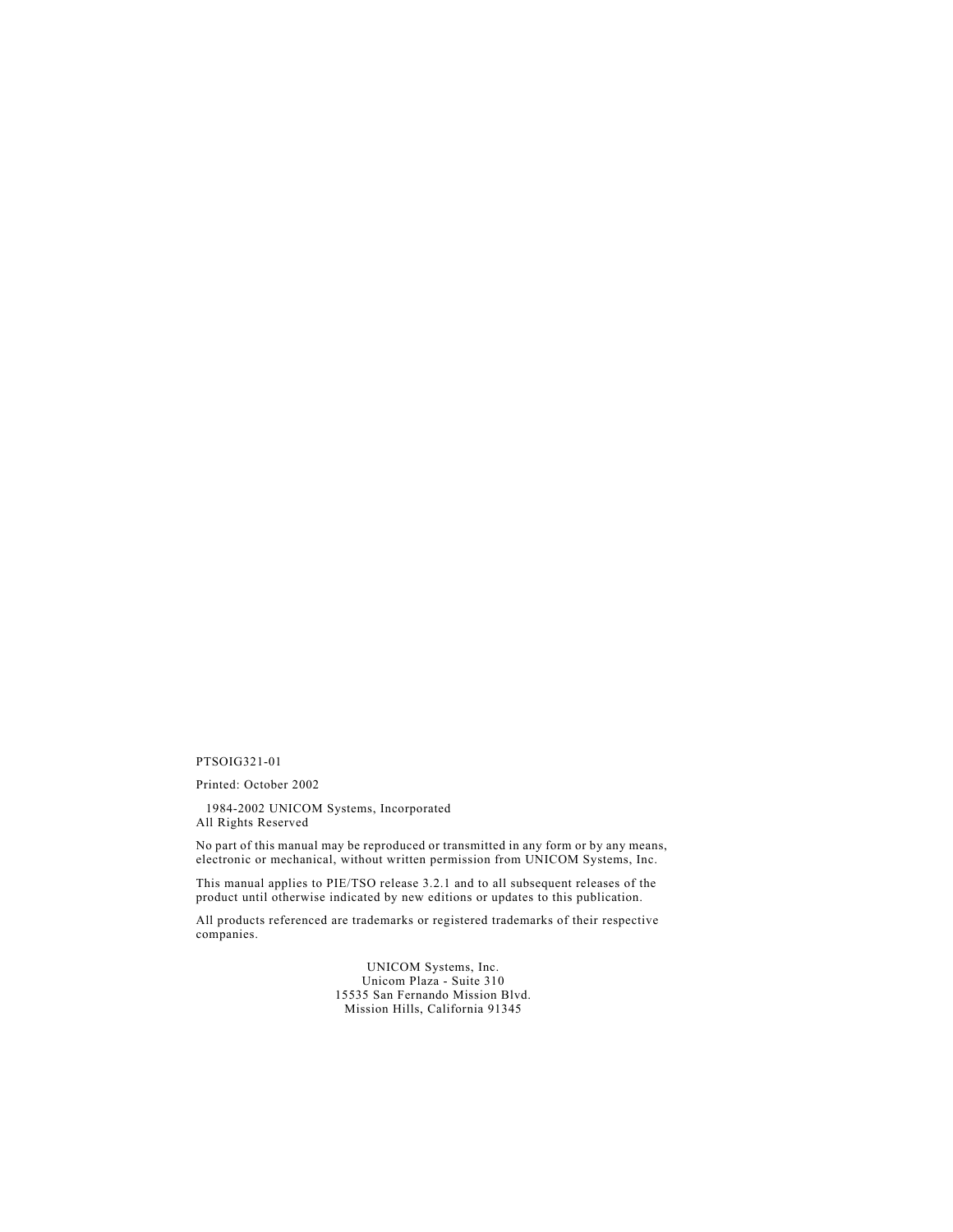PTSOIG321-01

Printed: October 2002

1984-2002 UNICOM Systems, Incorporated All Rights Reserved

No part of this manual may be reproduced or transmitted in any form or by any means, electronic or mechanical, without written permission from UNICOM Systems, Inc.

This manual applies to PIE/TSO release 3.2.1 and to all subsequent releases of the product until otherwise indicated by new editions or updates to this publication.

All products referenced are trademarks or registered trademarks of their respective companies.

> UNICOM Systems, Inc. Unicom Plaza - Suite 310 15535 San Fernando Mission Blvd. Mission Hills, California 91345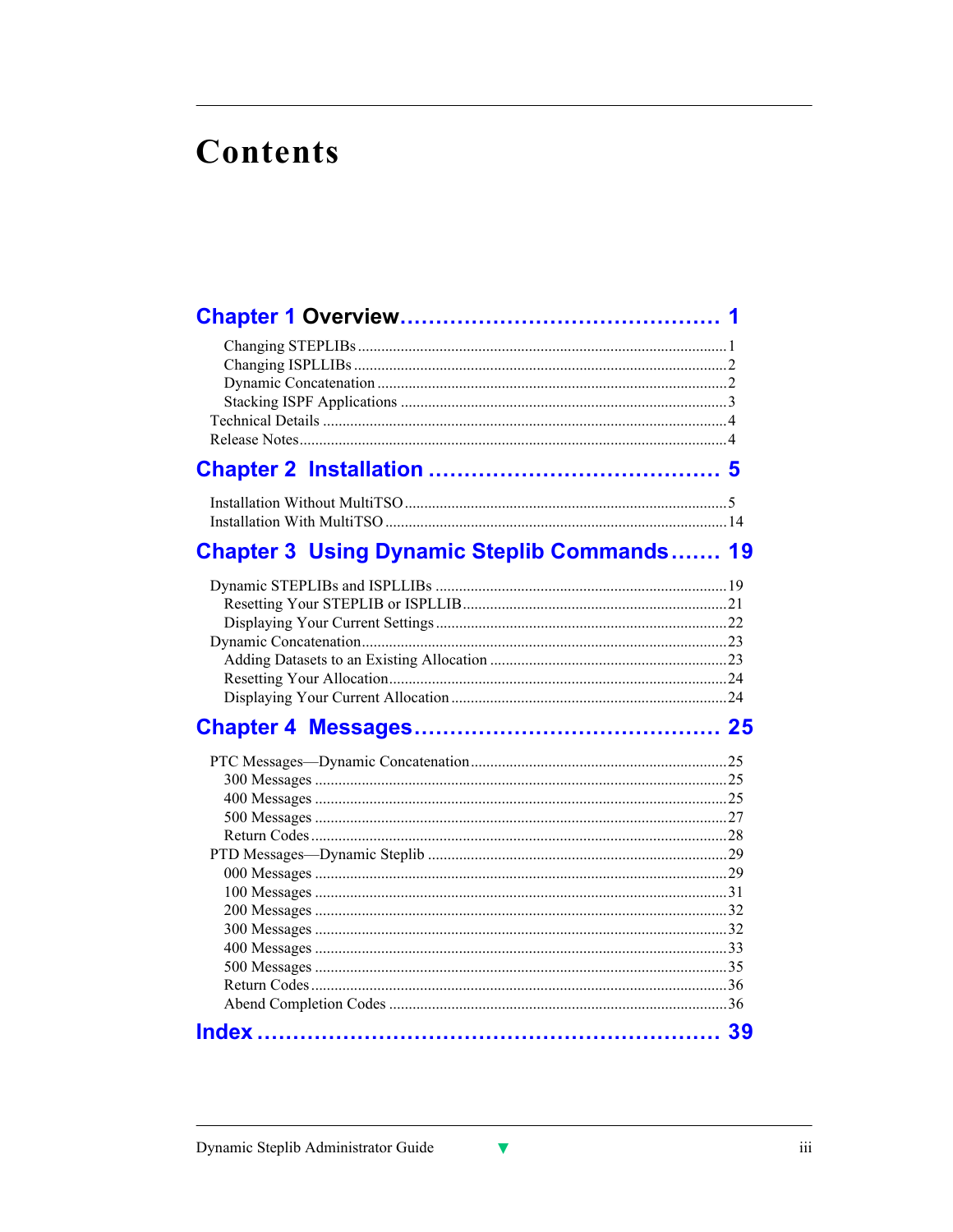# **Contents**

| <b>Chapter 3 Using Dynamic Steplib Commands 19</b> |  |  |  |  |
|----------------------------------------------------|--|--|--|--|
|                                                    |  |  |  |  |
|                                                    |  |  |  |  |
|                                                    |  |  |  |  |
|                                                    |  |  |  |  |
|                                                    |  |  |  |  |
|                                                    |  |  |  |  |
|                                                    |  |  |  |  |
|                                                    |  |  |  |  |
|                                                    |  |  |  |  |
|                                                    |  |  |  |  |
|                                                    |  |  |  |  |
|                                                    |  |  |  |  |
|                                                    |  |  |  |  |
|                                                    |  |  |  |  |
|                                                    |  |  |  |  |
|                                                    |  |  |  |  |
|                                                    |  |  |  |  |
|                                                    |  |  |  |  |
|                                                    |  |  |  |  |
|                                                    |  |  |  |  |
|                                                    |  |  |  |  |
|                                                    |  |  |  |  |
|                                                    |  |  |  |  |

 $\blacktriangledown$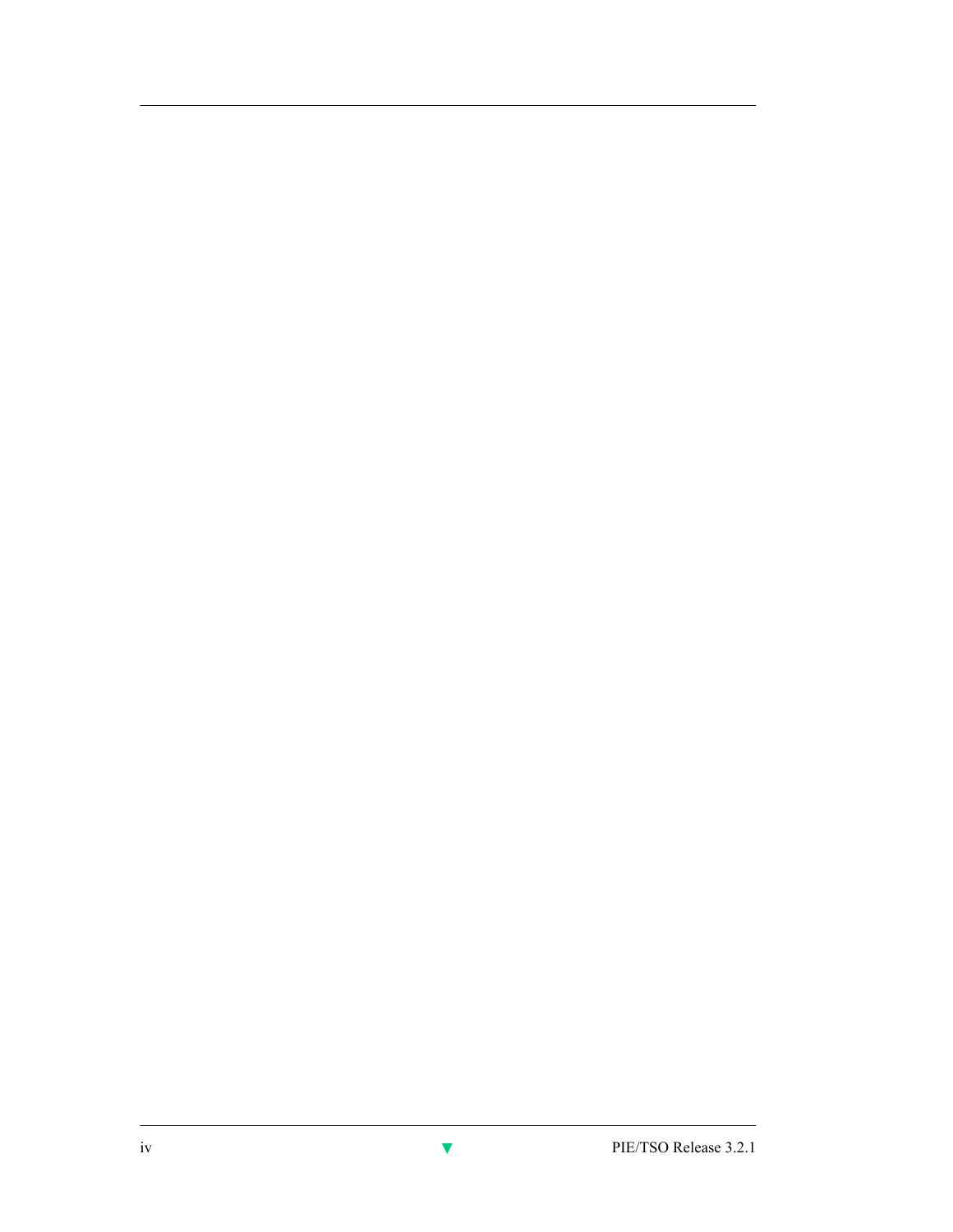iv PIE/TSO Release 3.2.1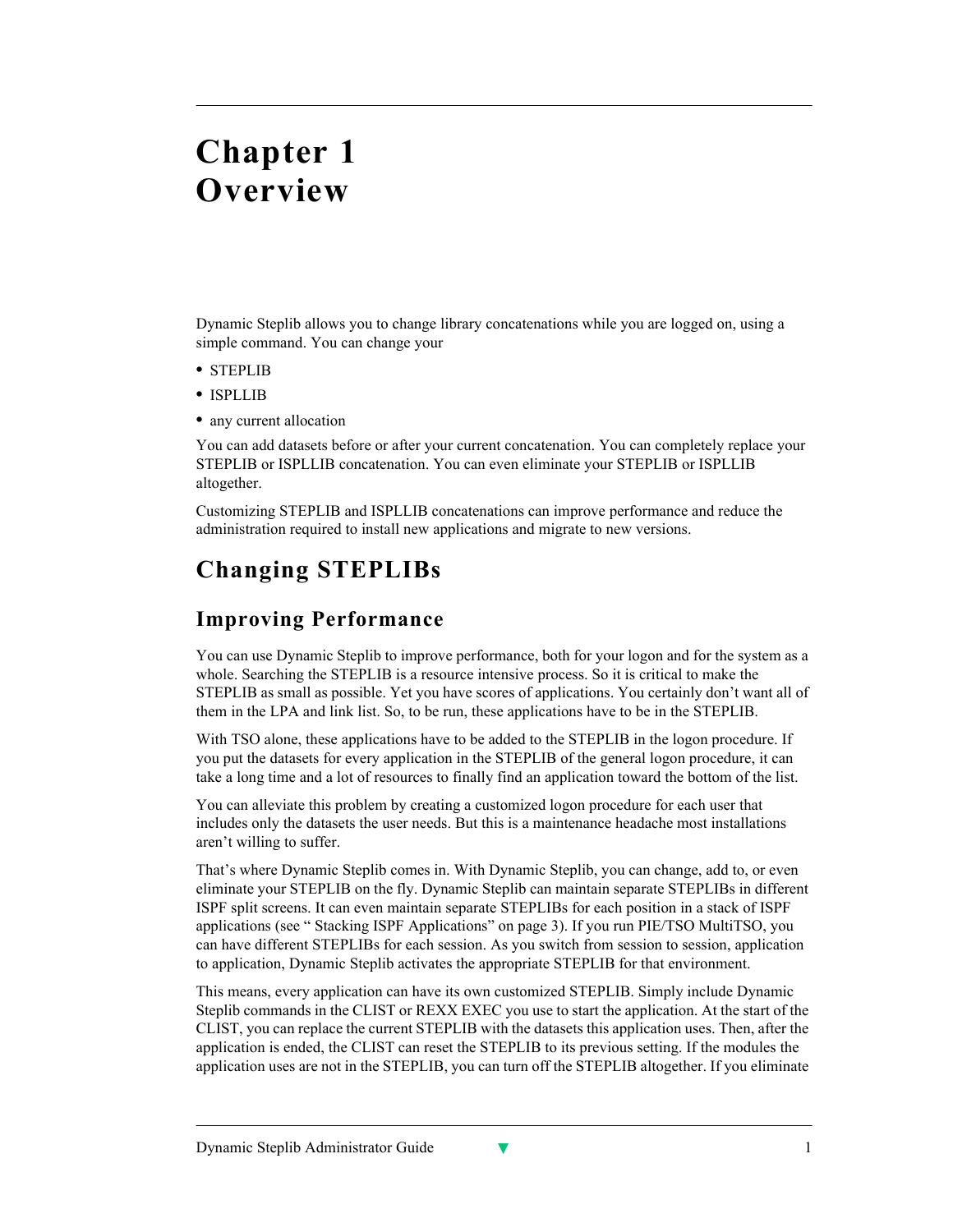# **Chapter 1 Overview**

Dynamic Steplib allows you to change library concatenations while you are logged on, using a simple command. You can change your

- **•** STEPLIB
- **•** ISPLLIB
- any current allocation

You can add datasets before or after your current concatenation. You can completely replace your STEPLIB or ISPLLIB concatenation. You can even eliminate your STEPLIB or ISPLLIB altogether.

Customizing STEPLIB and ISPLLIB concatenations can improve performance and reduce the administration required to install new applications and migrate to new versions.

# **Changing STEPLIBs**

### **Improving Performance**

You can use Dynamic Steplib to improve performance, both for your logon and for the system as a whole. Searching the STEPLIB is a resource intensive process. So it is critical to make the STEPLIB as small as possible. Yet you have scores of applications. You certainly don't want all of them in the LPA and link list. So, to be run, these applications have to be in the STEPLIB.

With TSO alone, these applications have to be added to the STEPLIB in the logon procedure. If you put the datasets for every application in the STEPLIB of the general logon procedure, it can take a long time and a lot of resources to finally find an application toward the bottom of the list.

You can alleviate this problem by creating a customized logon procedure for each user that includes only the datasets the user needs. But this is a maintenance headache most installations aren't willing to suffer.

That's where Dynamic Steplib comes in. With Dynamic Steplib, you can change, add to, or even eliminate your STEPLIB on the fly. Dynamic Steplib can maintain separate STEPLIBs in different ISPF split screens. It can even maintain separate STEPLIBs for each position in a stack of ISPF applications (see [" Stacking ISPF Applications" on page 3](#page-6-0)). If you run PIE/TSO MultiTSO, you can have different STEPLIBs for each session. As you switch from session to session, application to application, Dynamic Steplib activates the appropriate STEPLIB for that environment.

This means, every application can have its own customized STEPLIB. Simply include Dynamic Steplib commands in the CLIST or REXX EXEC you use to start the application. At the start of the CLIST, you can replace the current STEPLIB with the datasets this application uses. Then, after the application is ended, the CLIST can reset the STEPLIB to its previous setting. If the modules the application uses are not in the STEPLIB, you can turn off the STEPLIB altogether. If you eliminate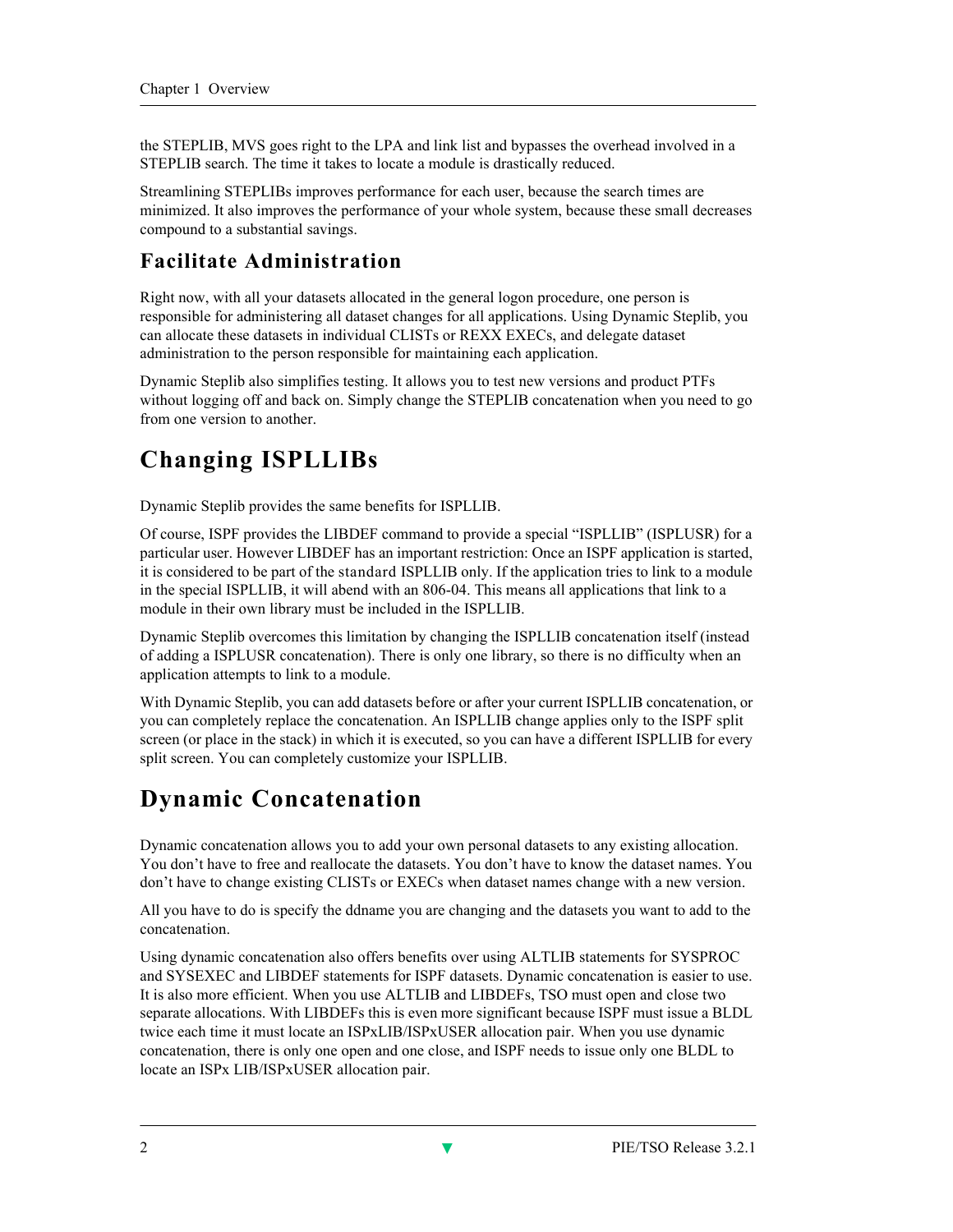the STEPLIB, MVS goes right to the LPA and link list and bypasses the overhead involved in a STEPLIB search. The time it takes to locate a module is drastically reduced.

Streamlining STEPLIBs improves performance for each user, because the search times are minimized. It also improves the performance of your whole system, because these small decreases compound to a substantial savings.

### **Facilitate Administration**

Right now, with all your datasets allocated in the general logon procedure, one person is responsible for administering all dataset changes for all applications. Using Dynamic Steplib, you can allocate these datasets in individual CLISTs or REXX EXECs, and delegate dataset administration to the person responsible for maintaining each application.

Dynamic Steplib also simplifies testing. It allows you to test new versions and product PTFs without logging off and back on. Simply change the STEPLIB concatenation when you need to go from one version to another.

# **Changing ISPLLIBs**

Dynamic Steplib provides the same benefits for ISPLLIB.

Of course, ISPF provides the LIBDEF command to provide a special "ISPLLIB" (ISPLUSR) for a particular user. However LIBDEF has an important restriction: Once an ISPF application is started, it is considered to be part of the standard ISPLLIB only. If the application tries to link to a module in the special ISPLLIB, it will abend with an 806-04. This means all applications that link to a module in their own library must be included in the ISPLLIB.

Dynamic Steplib overcomes this limitation by changing the ISPLLIB concatenation itself (instead of adding a ISPLUSR concatenation). There is only one library, so there is no difficulty when an application attempts to link to a module.

With Dynamic Steplib, you can add datasets before or after your current ISPLLIB concatenation, or you can completely replace the concatenation. An ISPLLIB change applies only to the ISPF split screen (or place in the stack) in which it is executed, so you can have a different ISPLLIB for every split screen. You can completely customize your ISPLLIB.

## **Dynamic Concatenation**

Dynamic concatenation allows you to add your own personal datasets to any existing allocation. You don't have to free and reallocate the datasets. You don't have to know the dataset names. You don't have to change existing CLISTs or EXECs when dataset names change with a new version.

All you have to do is specify the ddname you are changing and the datasets you want to add to the concatenation.

Using dynamic concatenation also offers benefits over using ALTLIB statements for SYSPROC and SYSEXEC and LIBDEF statements for ISPF datasets. Dynamic concatenation is easier to use. It is also more efficient. When you use ALTLIB and LIBDEFs, TSO must open and close two separate allocations. With LIBDEFs this is even more significant because ISPF must issue a BLDL twice each time it must locate an ISPxLIB/ISPxUSER allocation pair. When you use dynamic concatenation, there is only one open and one close, and ISPF needs to issue only one BLDL to locate an ISPx LIB/ISPxUSER allocation pair.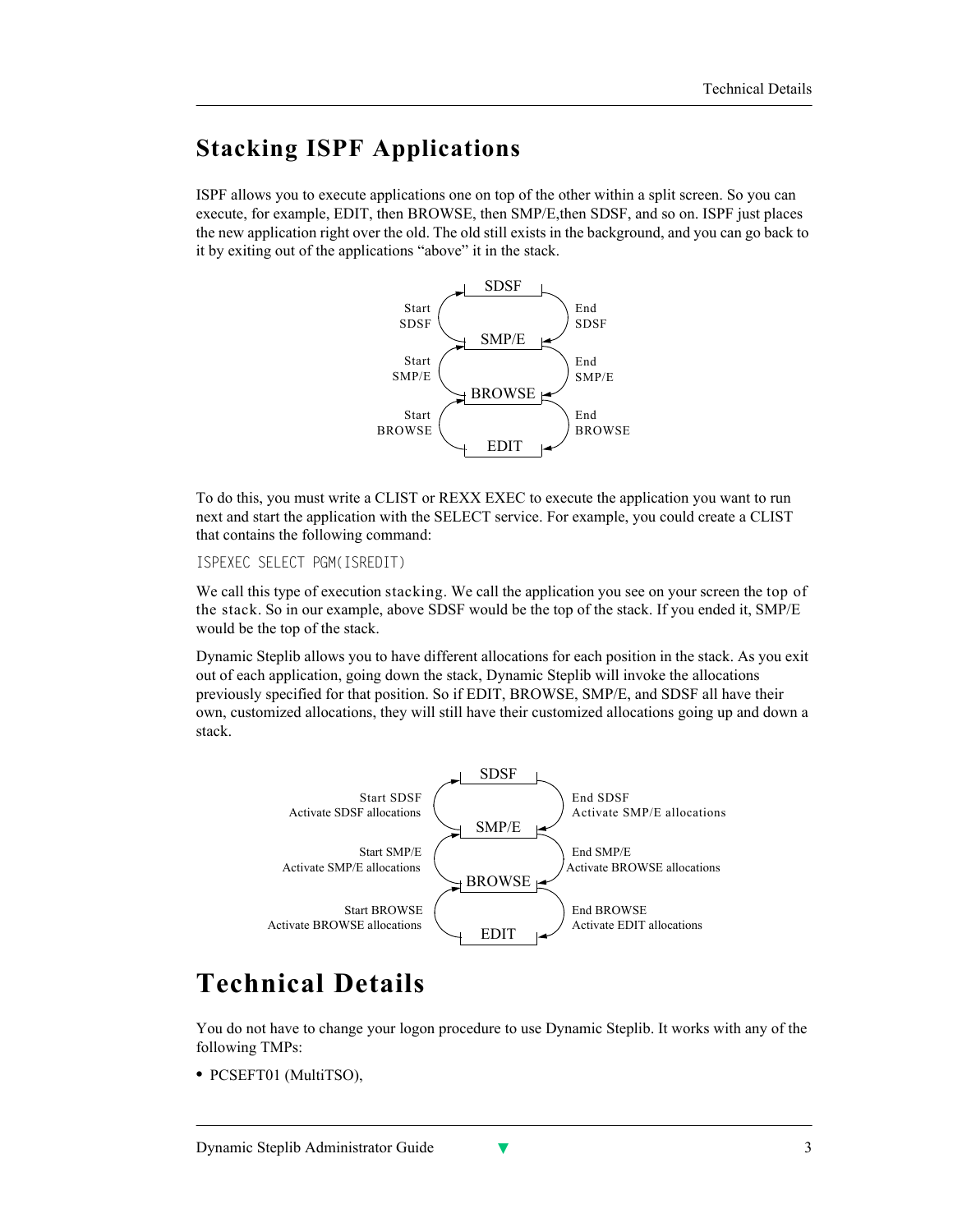### <span id="page-6-0"></span>**Stacking ISPF Applications**

ISPF allows you to execute applications one on top of the other within a split screen. So you can execute, for example, EDIT, then BROWSE, then SMP/E,then SDSF, and so on. ISPF just places the new application right over the old. The old still exists in the background, and you can go back to it by exiting out of the applications "above" it in the stack.



To do this, you must write a CLIST or REXX EXEC to execute the application you want to run next and start the application with the SELECT service. For example, you could create a CLIST that contains the following command:

ISPEXEC SELECT PGM(ISREDIT)

We call this type of execution stacking. We call the application you see on your screen the top of the stack. So in our example, above SDSF would be the top of the stack. If you ended it, SMP/E would be the top of the stack.

Dynamic Steplib allows you to have different allocations for each position in the stack. As you exit out of each application, going down the stack, Dynamic Steplib will invoke the allocations previously specified for that position. So if EDIT, BROWSE, SMP/E, and SDSF all have their own, customized allocations, they will still have their customized allocations going up and down a stack.



# **Technical Details**

You do not have to change your logon procedure to use Dynamic Steplib. It works with any of the following TMPs:

**•** PCSEFT01 (MultiTSO),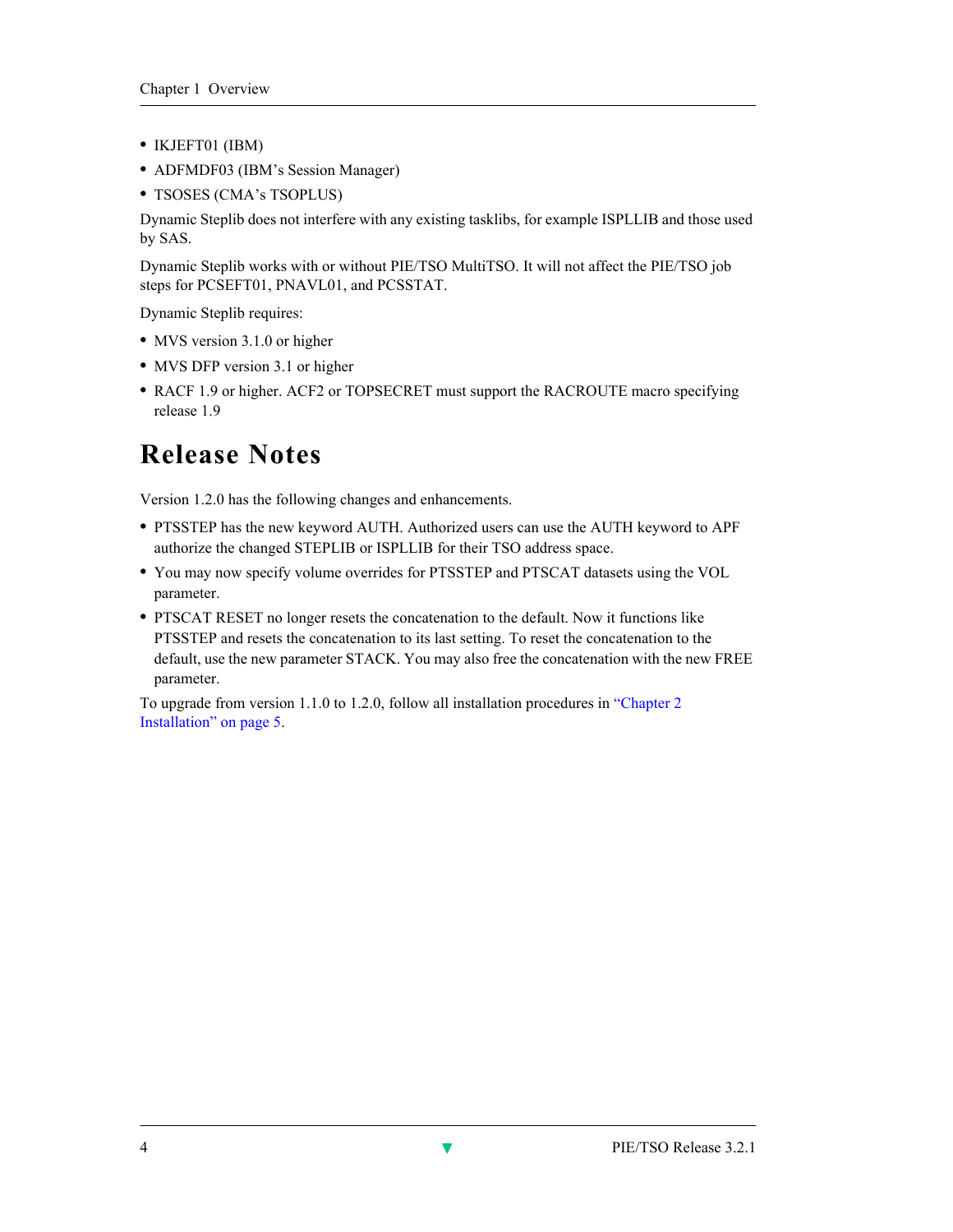- **•** IKJEFT01 (IBM)
- **•** ADFMDF03 (IBM's Session Manager)
- **•** TSOSES (CMA's TSOPLUS)

Dynamic Steplib does not interfere with any existing tasklibs, for example ISPLLIB and those used by SAS.

Dynamic Steplib works with or without PIE/TSO MultiTSO. It will not affect the PIE/TSO job steps for PCSEFT01, PNAVL01, and PCSSTAT.

Dynamic Steplib requires:

- **•** MVS version 3.1.0 or higher
- **•** MVS DFP version 3.1 or higher
- **•** RACF 1.9 or higher. ACF2 or TOPSECRET must support the RACROUTE macro specifying release 1.9

# **Release Notes**

Version 1.2.0 has the following changes and enhancements.

- **•** PTSSTEP has the new keyword AUTH. Authorized users can use the AUTH keyword to APF authorize the changed STEPLIB or ISPLLIB for their TSO address space.
- **•** You may now specify volume overrides for PTSSTEP and PTSCAT datasets using the VOL parameter.
- **•** PTSCAT RESET no longer resets the concatenation to the default. Now it functions like PTSSTEP and resets the concatenation to its last setting. To reset the concatenation to the default, use the new parameter STACK. You may also free the concatenation with the new FREE parameter.

To upgrade from version 1.1.0 to 1.2.0, follow all installation procedures in "Chapter 2 Installation" on page 5.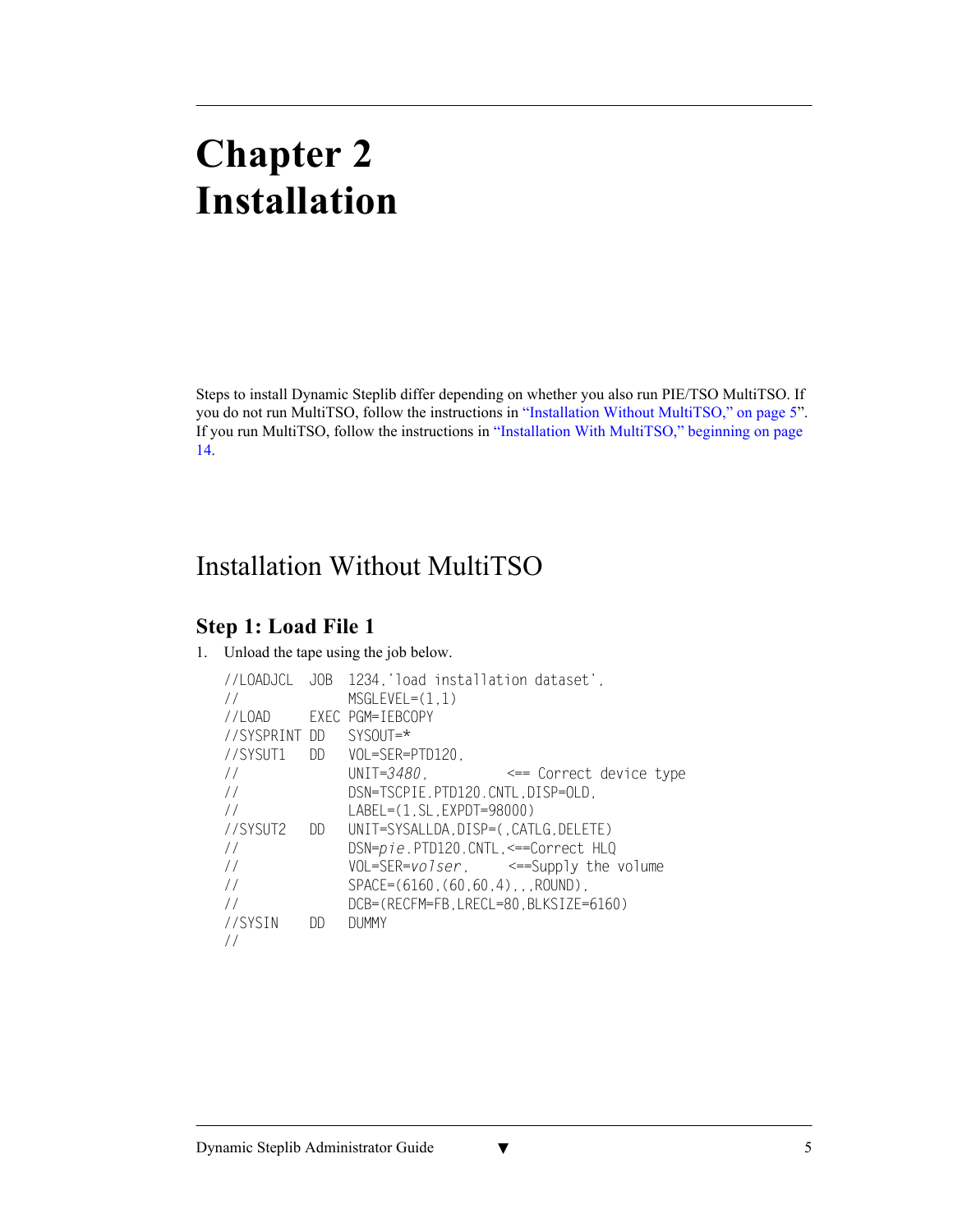# **Chapter 2 Installation**

Steps to install Dynamic Steplib differ depending on whether you also run PIE/TSO MultiTSO. If you do not run MultiTSO, follow the instructions in ["Installation Without MultiTSO," on page 5](#page-8-0)". If you run MultiTSO, follow the instructions in ["Installation With MultiTSO," beginning on page](#page-17-0)  [14.](#page-17-0)

# <span id="page-8-0"></span>Installation Without MultiTSO

### **Step 1: Load File 1**

#### 1. Unload the tape using the job below.

|                        |     | //LOADJCL JOB 1234, load installation dataset'. |
|------------------------|-----|-------------------------------------------------|
| $\frac{1}{2}$          |     | $MSGLEVEL = (1.1)$                              |
|                        |     | //LOAD EXEC PGM=IEBCOPY                         |
| //SYSPRINT DD SYSOUT=* |     |                                                 |
|                        |     | //SYSUT1 DD VOL=SER=PTD120,                     |
| $\frac{1}{2}$          |     | $UNIT=3480$ , $\leq$ == Correct device type     |
| $\frac{1}{2}$          |     | DSN=TSCPIE.PTD120.CNTL,DISP=OLD,                |
| $\frac{1}{2}$          |     | $LABEL=(1, SL, EXPDT=98000)$                    |
| //SYSUT2 DD            |     | UNIT=SYSALLDA.DISP=(.CATLG.DELETE)              |
| $\frac{1}{2}$          |     | DSN=pie.PTD120.CNTL, <==Correct HLQ             |
| $\frac{1}{2}$          |     | VOL=SER=volser, <==Supply the volume            |
| $\frac{1}{2}$          |     | $SPACE=(6160, (60, 60, 4), \dots$ ROUND).       |
| $\frac{1}{2}$          |     | DCB=(RECFM=FB, LRECL=80, BLKSIZE=6160)          |
| //SYSIN                | DD. | <b>DUMMY</b>                                    |
| $\frac{1}{2}$          |     |                                                 |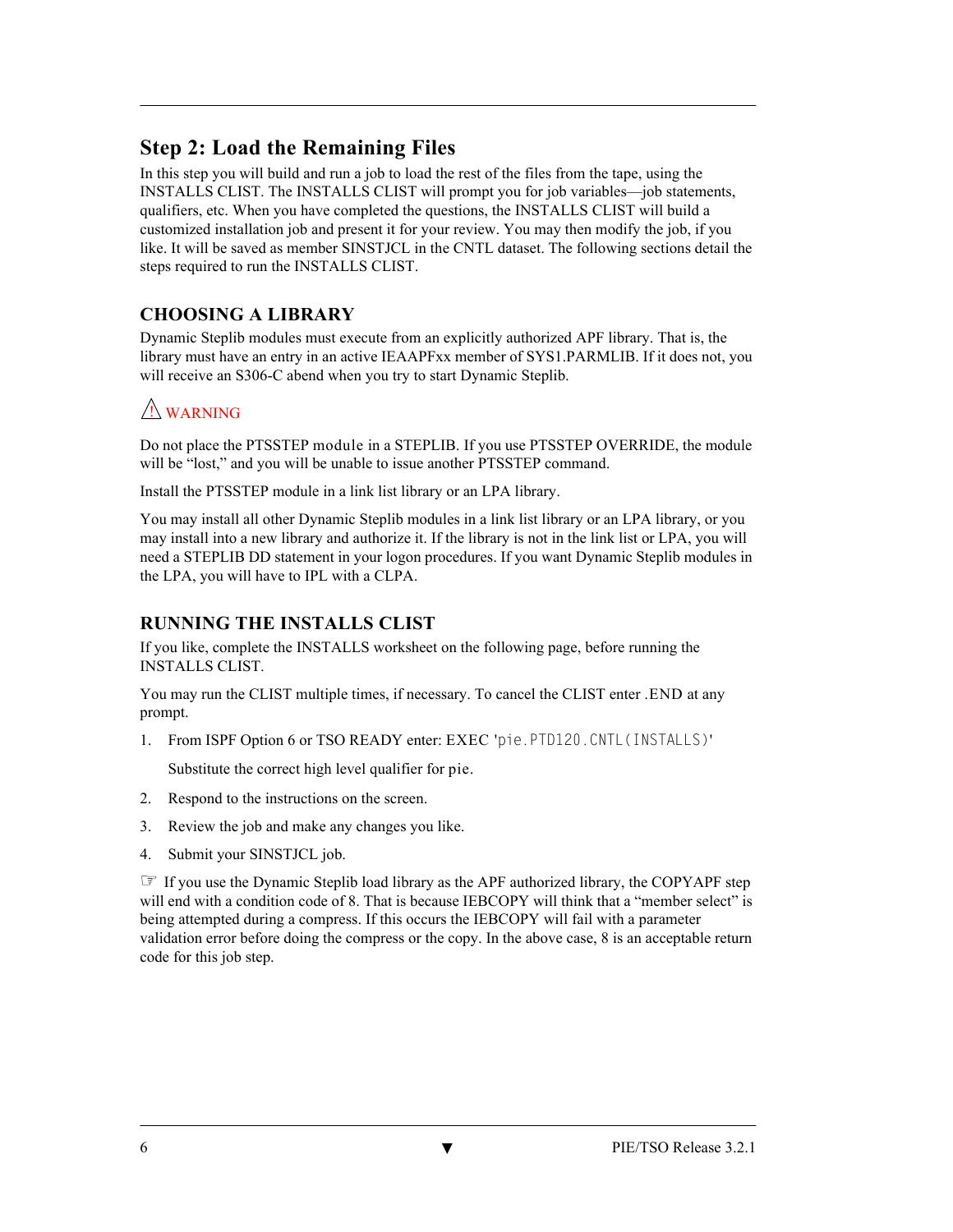### **Step 2: Load the Remaining Files**

In this step you will build and run a job to load the rest of the files from the tape, using the INSTALLS CLIST. The INSTALLS CLIST will prompt you for job variables—job statements, qualifiers, etc. When you have completed the questions, the INSTALLS CLIST will build a customized installation job and present it for your review. You may then modify the job, if you like. It will be saved as member SINSTJCL in the CNTL dataset. The following sections detail the steps required to run the INSTALLS CLIST.

### **CHOOSING A LIBRARY**

Dynamic Steplib modules must execute from an explicitly authorized APF library. That is, the library must have an entry in an active IEAAPFxx member of SYS1.PARMLIB. If it does not, you will receive an S306-C abend when you try to start Dynamic Steplib.

### $\bigwedge$  WARNING

Do not place the PTSSTEP module in a STEPLIB. If you use PTSSTEP OVERRIDE, the module will be "lost," and you will be unable to issue another PTSSTEP command.

Install the PTSSTEP module in a link list library or an LPA library.

You may install all other Dynamic Steplib modules in a link list library or an LPA library, or you may install into a new library and authorize it. If the library is not in the link list or LPA, you will need a STEPLIB DD statement in your logon procedures. If you want Dynamic Steplib modules in the LPA, you will have to IPL with a CLPA.

### **RUNNING THE INSTALLS CLIST**

If you like, complete the INSTALLS worksheet on the following page, before running the INSTALLS CLIST.

You may run the CLIST multiple times, if necessary. To cancel the CLIST enter .END at any prompt.

1. From ISPF Option 6 or TSO READY enter: EXEC 'pie.PTD120.CNTL(INSTALLS)'

Substitute the correct high level qualifier for pie.

- 2. Respond to the instructions on the screen.
- 3. Review the job and make any changes you like.
- 4. Submit your SINSTJCL job.

☞ If you use the Dynamic Steplib load library as the APF authorized library, the COPYAPF step will end with a condition code of 8. That is because IEBCOPY will think that a "member select" is being attempted during a compress. If this occurs the IEBCOPY will fail with a parameter validation error before doing the compress or the copy. In the above case, 8 is an acceptable return code for this job step.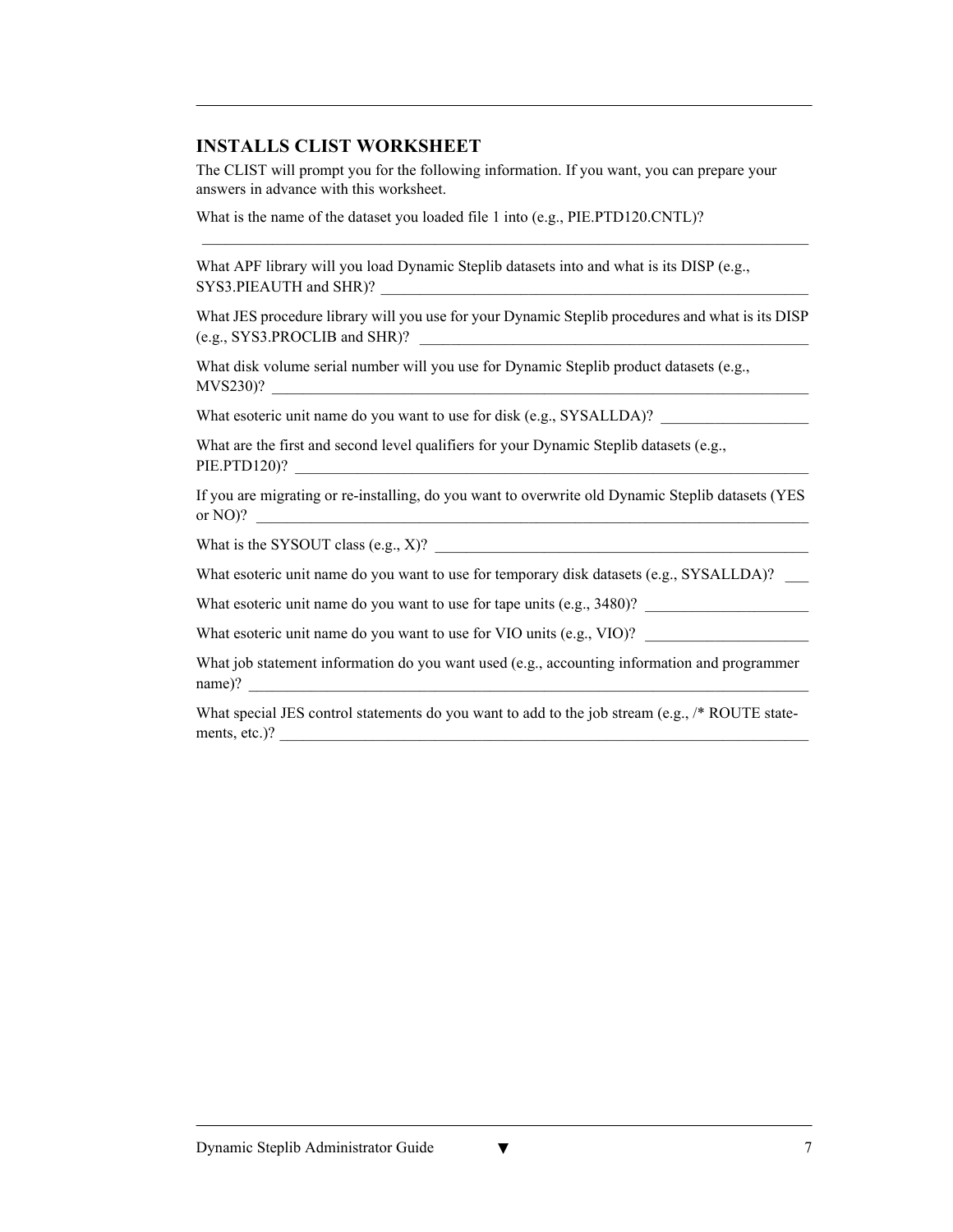#### **INSTALLS CLIST WORKSHEET**

The CLIST will prompt you for the following information. If you want, you can prepare your answers in advance with this worksheet.

What is the name of the dataset you loaded file 1 into (e.g., PIE.PTD120.CNTL)?

What APF library will you load Dynamic Steplib datasets into and what is its DISP (e.g., SYS3.PIEAUTH and SHR)?

What JES procedure library will you use for your Dynamic Steplib procedures and what is its DISP  $(e.g., \text{SYS3.PROCLIB} \text{and} \text{SHR})?$ 

What disk volume serial number will you use for Dynamic Steplib product datasets (e.g., MVS230)? \_\_\_\_\_\_\_\_\_\_\_\_\_\_\_\_\_\_\_\_\_\_\_\_\_\_\_\_\_\_\_\_\_\_\_\_\_\_\_\_\_\_\_\_\_\_\_\_\_\_\_\_\_\_\_\_\_\_\_\_\_\_\_\_\_\_\_\_\_

What esoteric unit name do you want to use for disk (e.g., SYSALLDA)?

What are the first and second level qualifiers for your Dynamic Steplib datasets (e.g.,  $PIE.PTD120$ ?

If you are migrating or re-installing, do you want to overwrite old Dynamic Steplib datasets (YES or  $NO$ ?

What is the SYSOUT class  $(e.g., X)?$ 

What esoteric unit name do you want to use for temporary disk datasets (e.g., SYSALLDA)?

What esoteric unit name do you want to use for tape units  $(e.g., 3480)$ ?

What esoteric unit name do you want to use for VIO units (e.g., VIO)?

What job statement information do you want used (e.g., accounting information and programmer  $name)$ ?

What special JES control statements do you want to add to the job stream (e.g., /\* ROUTE statements, etc.)?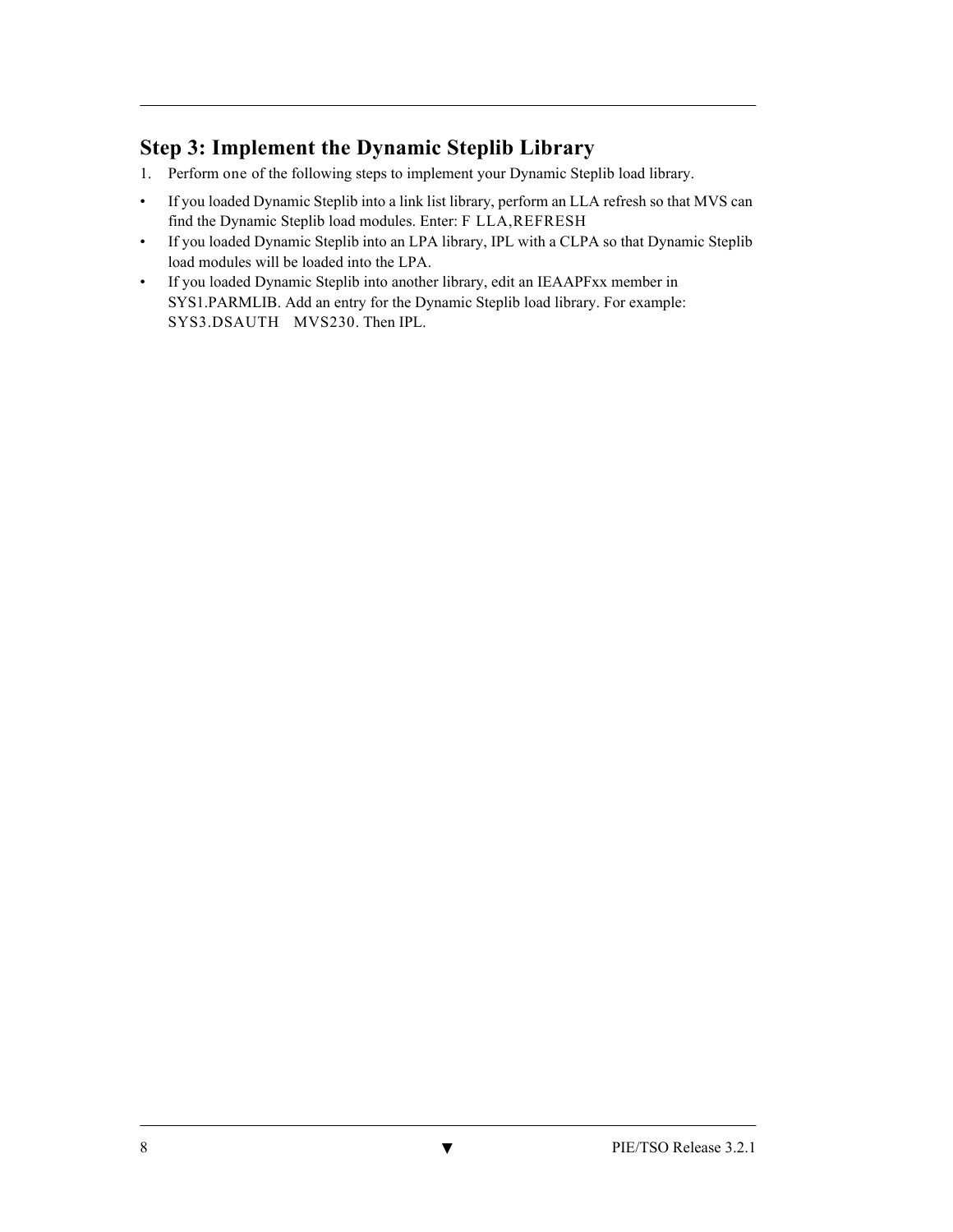### **Step 3: Implement the Dynamic Steplib Library**

- 1. Perform one of the following steps to implement your Dynamic Steplib load library.
- If you loaded Dynamic Steplib into a link list library, perform an LLA refresh so that MVS can find the Dynamic Steplib load modules. Enter: F LLA,REFRESH
- If you loaded Dynamic Steplib into an LPA library, IPL with a CLPA so that Dynamic Steplib load modules will be loaded into the LPA.
- If you loaded Dynamic Steplib into another library, edit an IEAAPFxx member in SYS1.PARMLIB. Add an entry for the Dynamic Steplib load library. For example: SYS3.DSAUTH MVS230. Then IPL.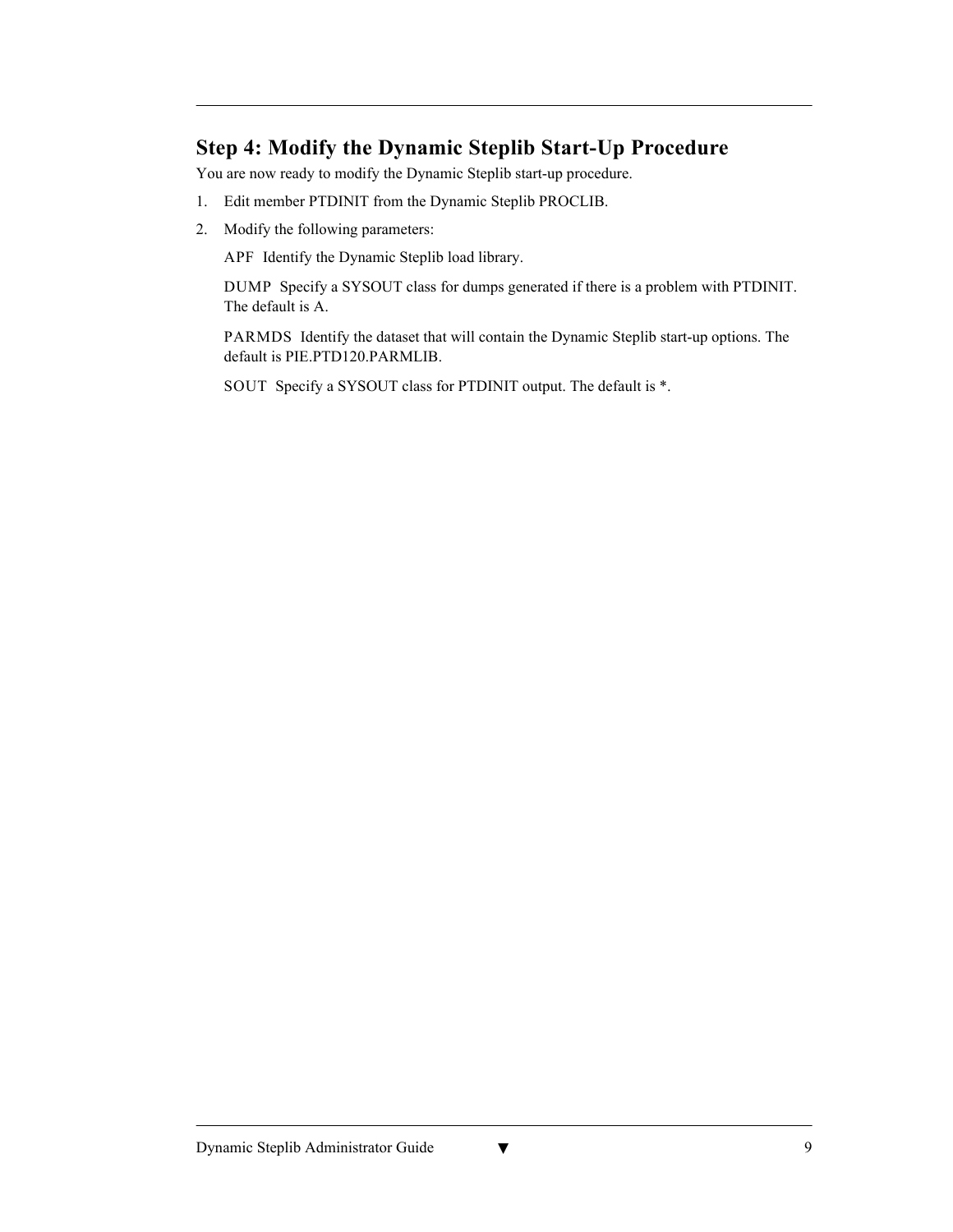### **Step 4: Modify the Dynamic Steplib Start-Up Procedure**

You are now ready to modify the Dynamic Steplib start-up procedure.

- 1. Edit member PTDINIT from the Dynamic Steplib PROCLIB.
- 2. Modify the following parameters:

APF Identify the Dynamic Steplib load library.

DUMP Specify a SYSOUT class for dumps generated if there is a problem with PTDINIT. The default is A.

PARMDS Identify the dataset that will contain the Dynamic Steplib start-up options. The default is PIE.PTD120.PARMLIB.

SOUT Specify a SYSOUT class for PTDINIT output. The default is \*.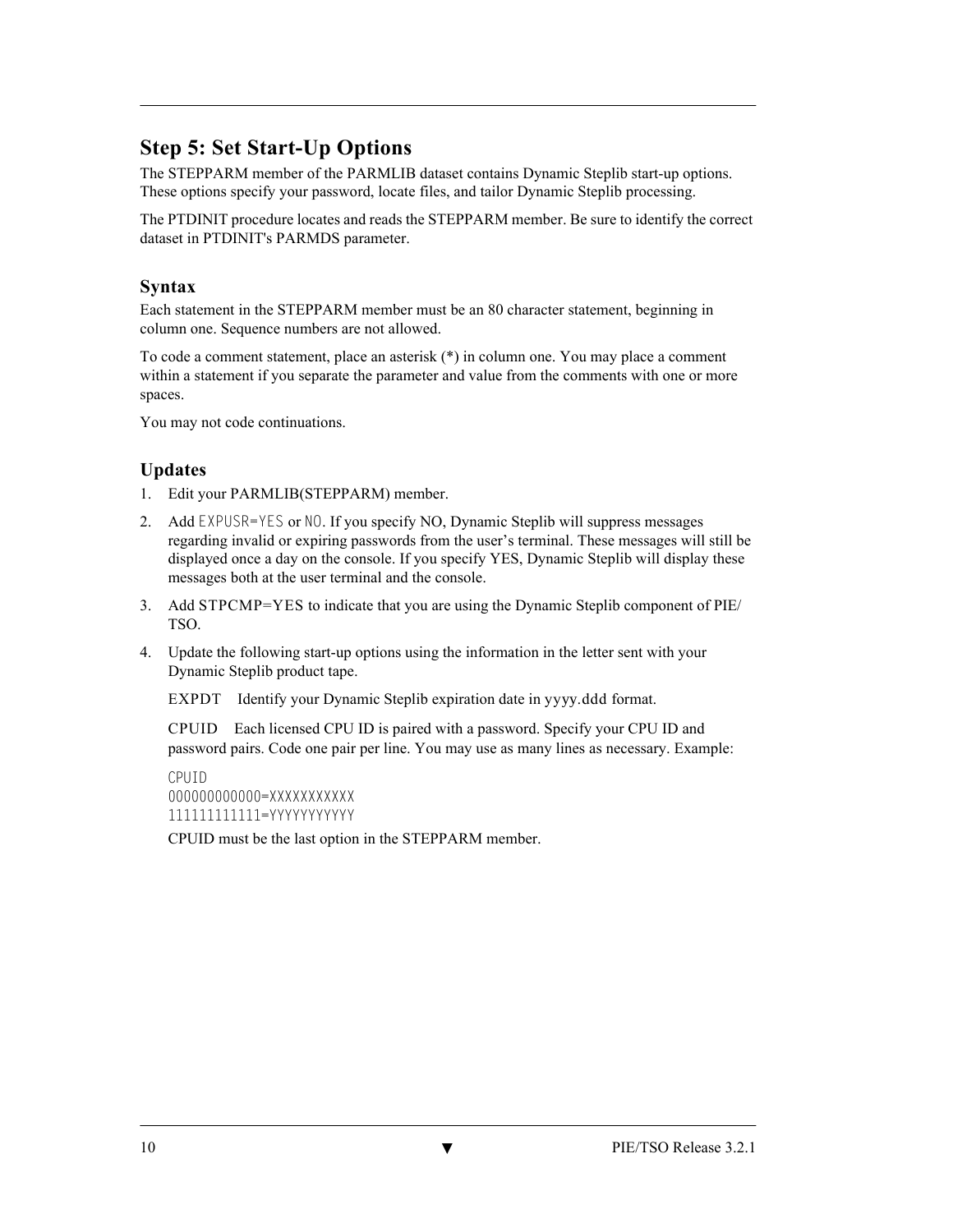### **Step 5: Set Start-Up Options**

The STEPPARM member of the PARMLIB dataset contains Dynamic Steplib start-up options. These options specify your password, locate files, and tailor Dynamic Steplib processing.

The PTDINIT procedure locates and reads the STEPPARM member. Be sure to identify the correct dataset in PTDINIT's PARMDS parameter.

#### **Syntax**

Each statement in the STEPPARM member must be an 80 character statement, beginning in column one. Sequence numbers are not allowed.

To code a comment statement, place an asterisk (\*) in column one. You may place a comment within a statement if you separate the parameter and value from the comments with one or more spaces.

You may not code continuations.

#### **Updates**

- 1. Edit your PARMLIB(STEPPARM) member.
- 2. Add EXPUSR=YES or NO. If you specify NO, Dynamic Steplib will suppress messages regarding invalid or expiring passwords from the user's terminal. These messages will still be displayed once a day on the console. If you specify YES, Dynamic Steplib will display these messages both at the user terminal and the console.
- 3. Add STPCMP=YES to indicate that you are using the Dynamic Steplib component of PIE/ TSO.
- 4. Update the following start-up options using the information in the letter sent with your Dynamic Steplib product tape.

EXPDT Identify your Dynamic Steplib expiration date in yyyy.ddd format.

CPUID Each licensed CPU ID is paired with a password. Specify your CPU ID and password pairs. Code one pair per line. You may use as many lines as necessary. Example:

CPUID 000000000000=XXXXXXXXXXX 111111111111=YYYYYYYYYYY

CPUID must be the last option in the STEPPARM member.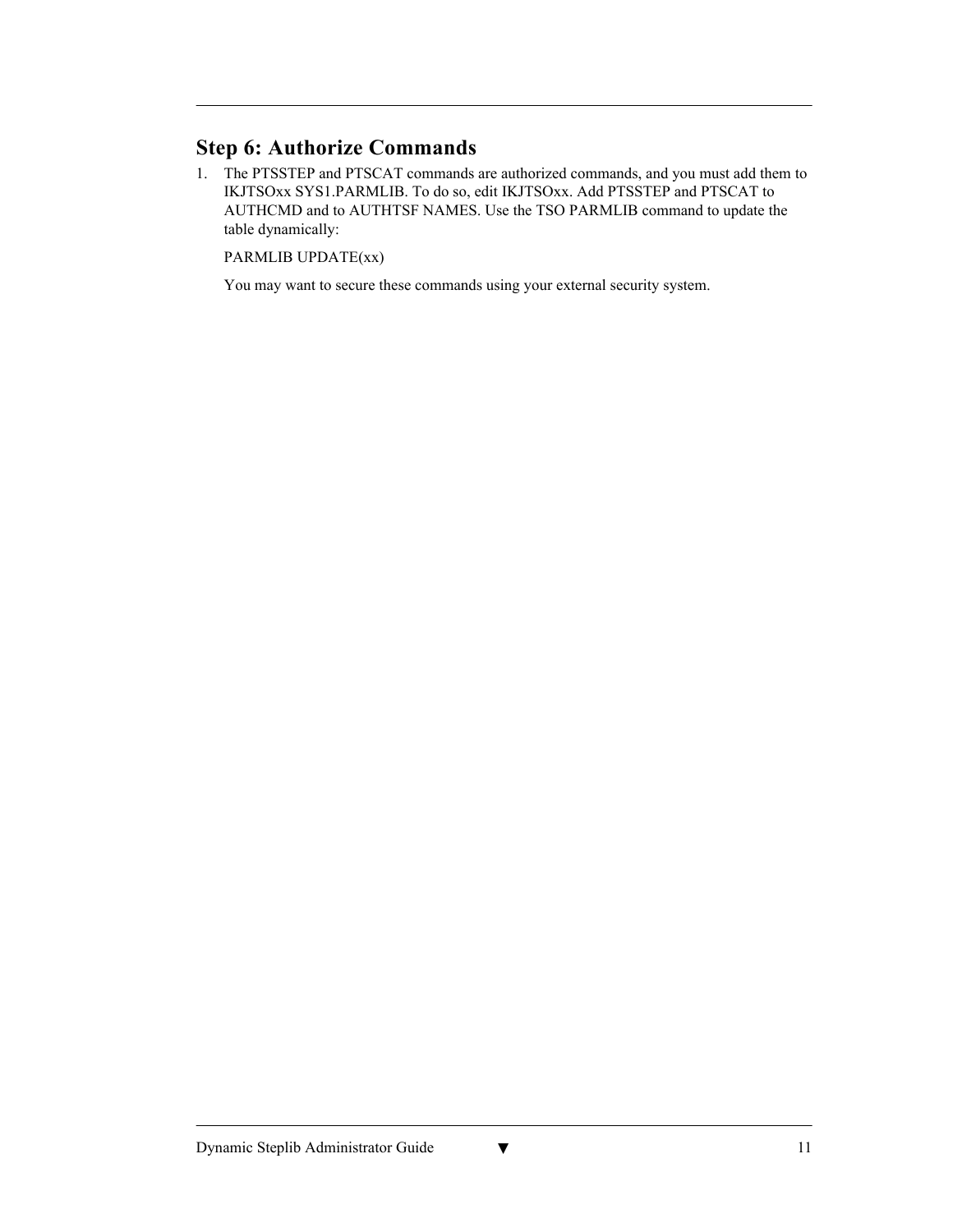### **Step 6: Authorize Commands**

1. The PTSSTEP and PTSCAT commands are authorized commands, and you must add them to IKJTSOxx SYS1.PARMLIB. To do so, edit IKJTSOxx. Add PTSSTEP and PTSCAT to AUTHCMD and to AUTHTSF NAMES. Use the TSO PARMLIB command to update the table dynamically:

#### PARMLIB UPDATE(xx)

You may want to secure these commands using your external security system.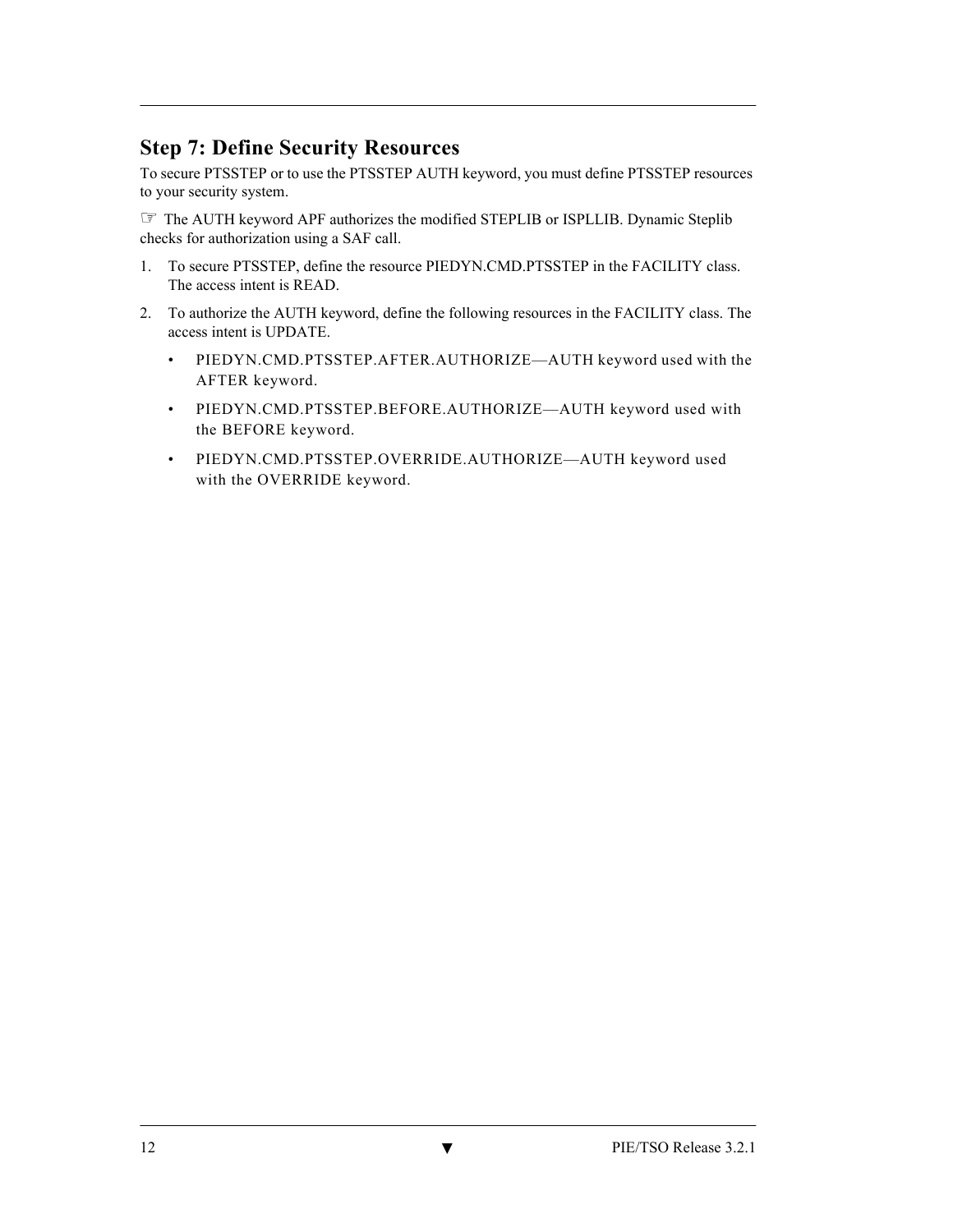### **Step 7: Define Security Resources**

To secure PTSSTEP or to use the PTSSTEP AUTH keyword, you must define PTSSTEP resources to your security system.

☞ The AUTH keyword APF authorizes the modified STEPLIB or ISPLLIB. Dynamic Steplib checks for authorization using a SAF call.

- 1. To secure PTSSTEP, define the resource PIEDYN.CMD.PTSSTEP in the FACILITY class. The access intent is READ.
- 2. To authorize the AUTH keyword, define the following resources in the FACILITY class. The access intent is UPDATE.
	- PIEDYN.CMD.PTSSTEP.AFTER.AUTHORIZE—AUTH keyword used with the AFTER keyword.
	- PIEDYN.CMD.PTSSTEP.BEFORE.AUTHORIZE—AUTH keyword used with the BEFORE keyword.
	- PIEDYN.CMD.PTSSTEP.OVERRIDE.AUTHORIZE—AUTH keyword used with the OVERRIDE keyword.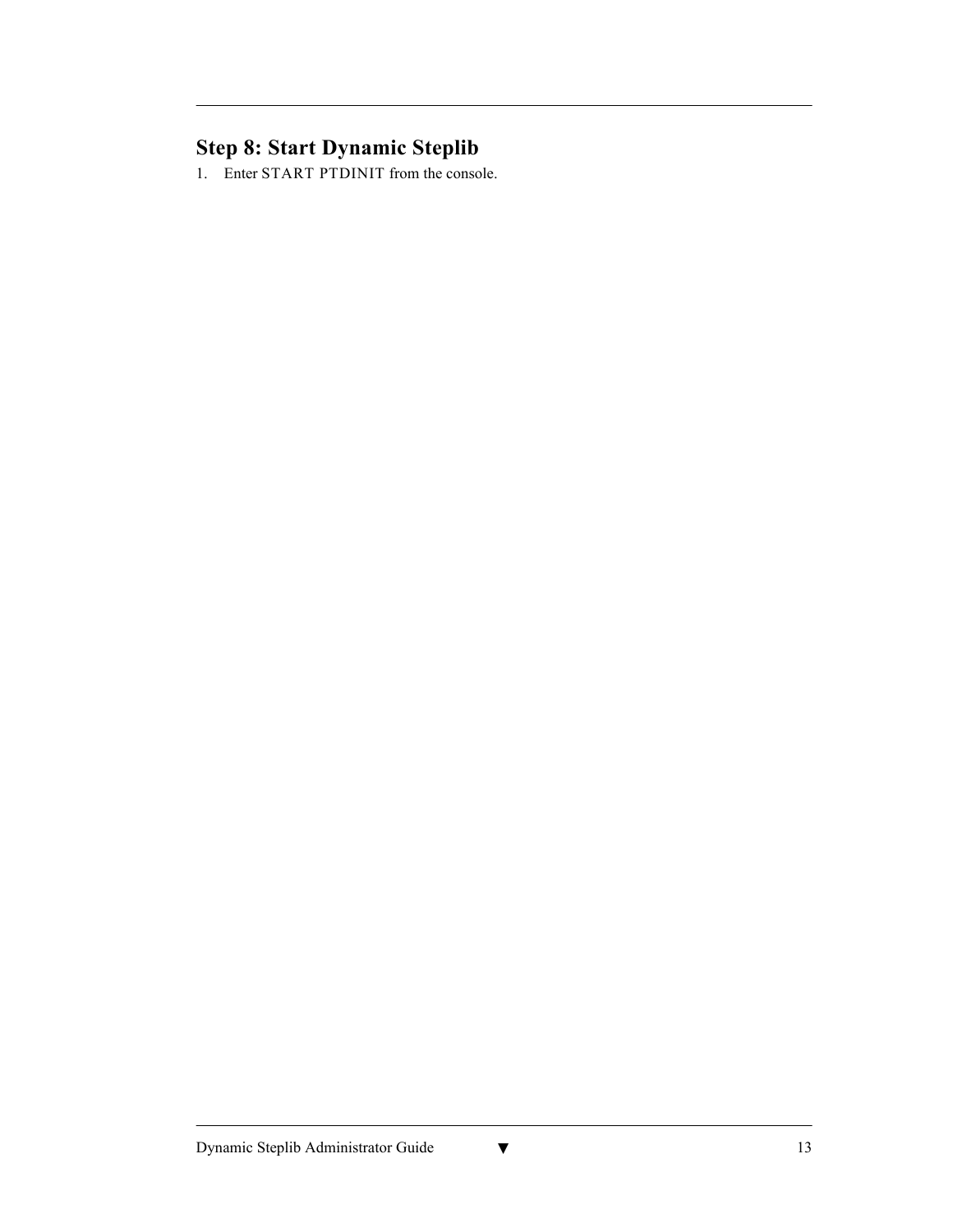# **Step 8: Start Dynamic Steplib**

1. Enter START PTDINIT from the console.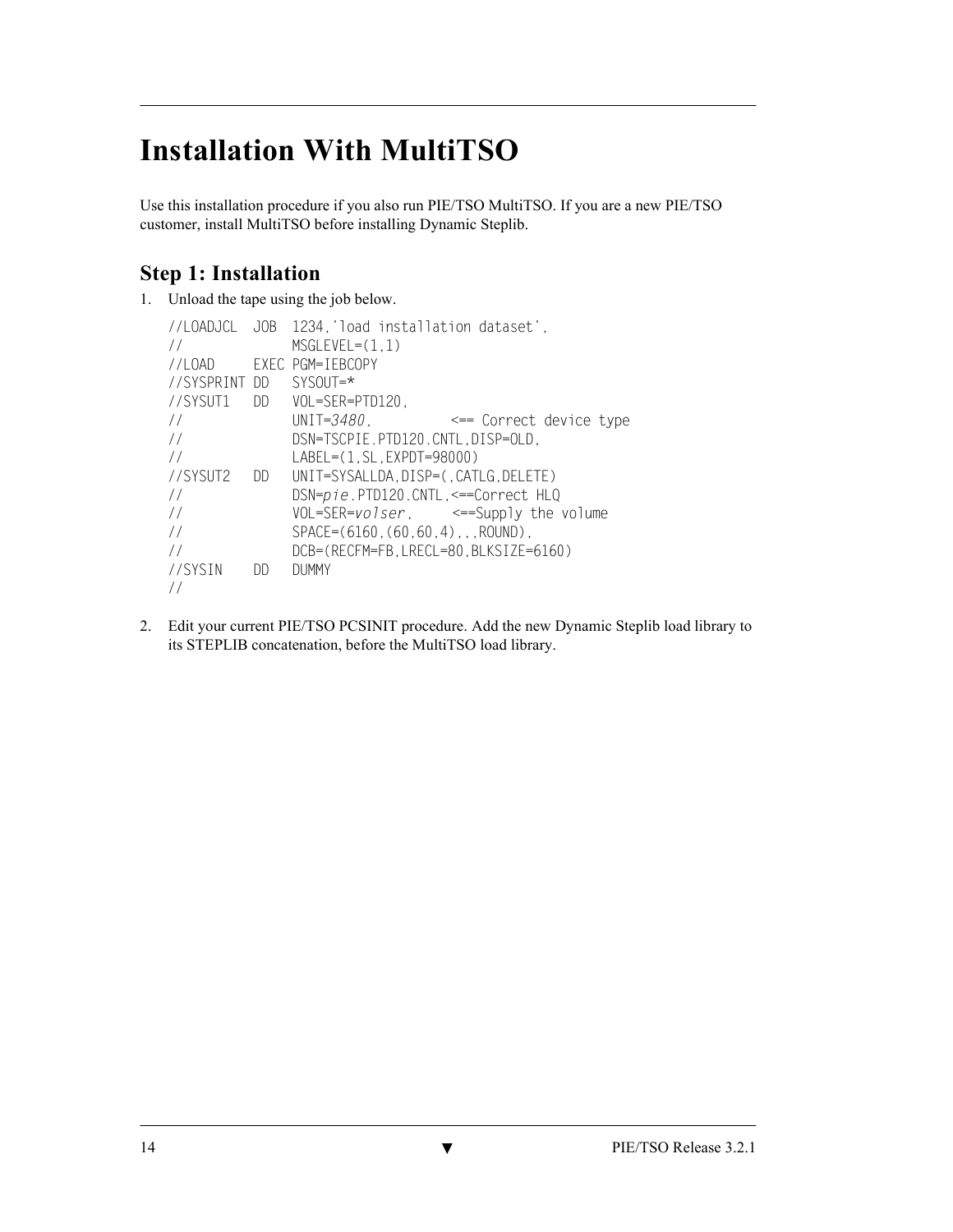# <span id="page-17-0"></span>**Installation With MultiTSO**

Use this installation procedure if you also run PIE/TSO MultiTSO. If you are a new PIE/TSO customer, install MultiTSO before installing Dynamic Steplib.

### **Step 1: Installation**

1. Unload the tape using the job below.

|               |       | //LOADJCL JOB 1234, load installation dataset', |
|---------------|-------|-------------------------------------------------|
| $\frac{1}{2}$ |       | $MSGLEVEL = (1, 1)$                             |
|               |       | //LOAD EXEC PGM=IEBCOPY                         |
| //SYSPRINT DD |       | $SYSOUT = *$                                    |
|               |       | //SYSUT1 DD VOL=SER=PTD120.                     |
| $\frac{1}{2}$ |       | $UNIT=3480$ , $\leq$ == Correct device type     |
| $\frac{1}{2}$ |       | DSN=TSCPIE.PTD120.CNTL.DISP=OLD.                |
| $\frac{1}{2}$ |       | $LABEL=(1, SL, EXPDT=98000)$                    |
| //SYSUT2 DD   |       | UNIT=SYSALLDA, DISP=(, CATLG, DELETE)           |
| $\frac{1}{2}$ |       | DSN=pie.PTD120.CNTL, <==Correct HLQ             |
| $\frac{1}{2}$ |       | VOL=SER=volser, <==Supply the volume            |
| $\frac{1}{2}$ |       | $SPACE=(6160, (60, 60, 4), \dots$ ROUND).       |
| $\frac{1}{2}$ |       | DCB=(RECFM=FB, LRECL=80, BLKSIZE=6160)          |
| //SYSIN       | DD DD | <b>DUMMY</b>                                    |
| $\frac{1}{2}$ |       |                                                 |

2. Edit your current PIE/TSO PCSINIT procedure. Add the new Dynamic Steplib load library to its STEPLIB concatenation, before the MultiTSO load library.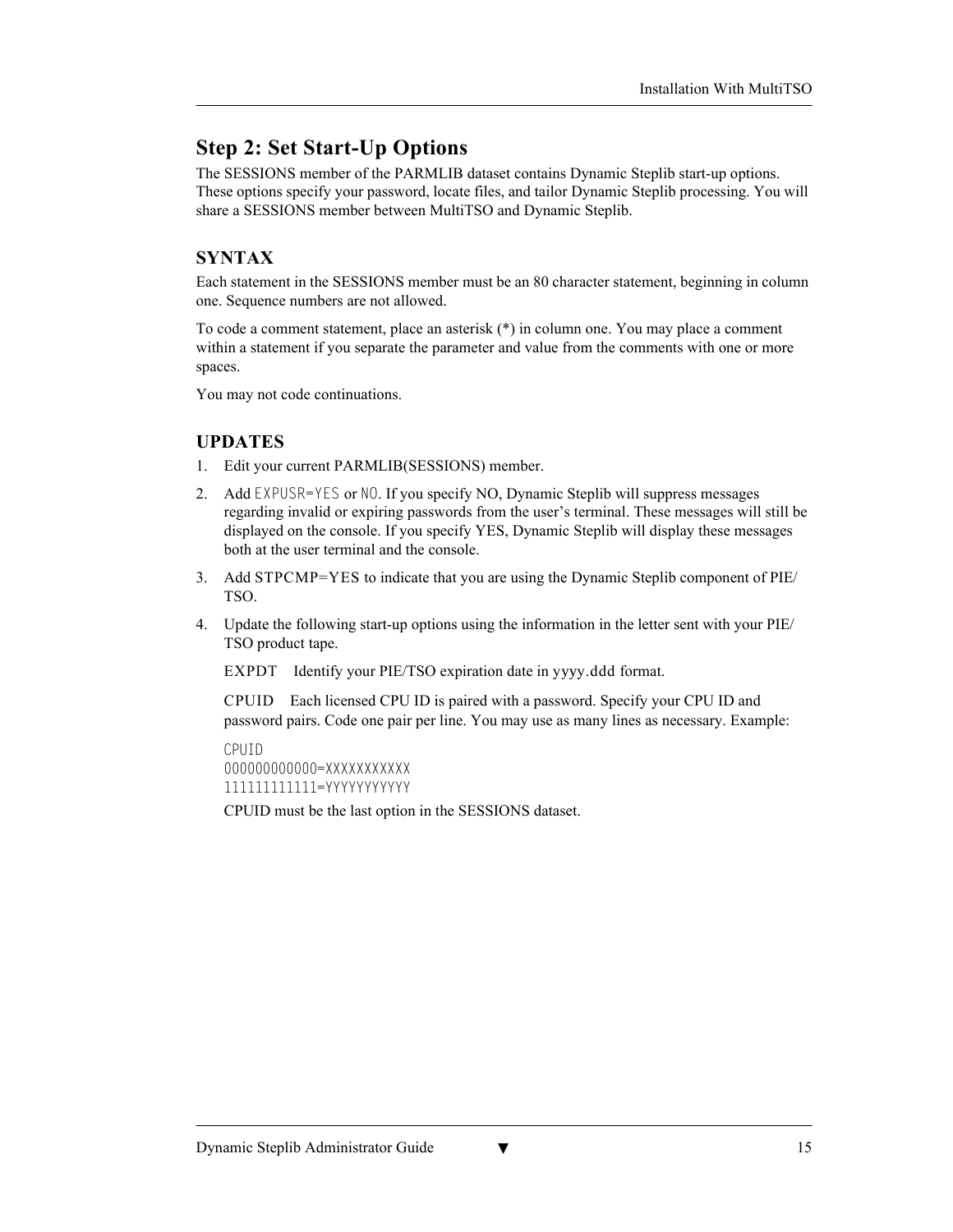### **Step 2: Set Start-Up Options**

The SESSIONS member of the PARMLIB dataset contains Dynamic Steplib start-up options. These options specify your password, locate files, and tailor Dynamic Steplib processing. You will share a SESSIONS member between MultiTSO and Dynamic Steplib.

### **SYNTAX**

Each statement in the SESSIONS member must be an 80 character statement, beginning in column one. Sequence numbers are not allowed.

To code a comment statement, place an asterisk (\*) in column one. You may place a comment within a statement if you separate the parameter and value from the comments with one or more spaces.

You may not code continuations.

#### **UPDATES**

- 1. Edit your current PARMLIB(SESSIONS) member.
- 2. Add EXPUSR=YES or NO. If you specify NO, Dynamic Steplib will suppress messages regarding invalid or expiring passwords from the user's terminal. These messages will still be displayed on the console. If you specify YES, Dynamic Steplib will display these messages both at the user terminal and the console.
- 3. Add STPCMP=YES to indicate that you are using the Dynamic Steplib component of PIE/ TSO.
- 4. Update the following start-up options using the information in the letter sent with your PIE/ TSO product tape.

EXPDT Identify your PIE/TSO expiration date in yyyy.ddd format.

CPUID Each licensed CPU ID is paired with a password. Specify your CPU ID and password pairs. Code one pair per line. You may use as many lines as necessary. Example:

CPUID 000000000000=XXXXXXXXXXX 111111111111=YYYYYYYYYYY

CPUID must be the last option in the SESSIONS dataset.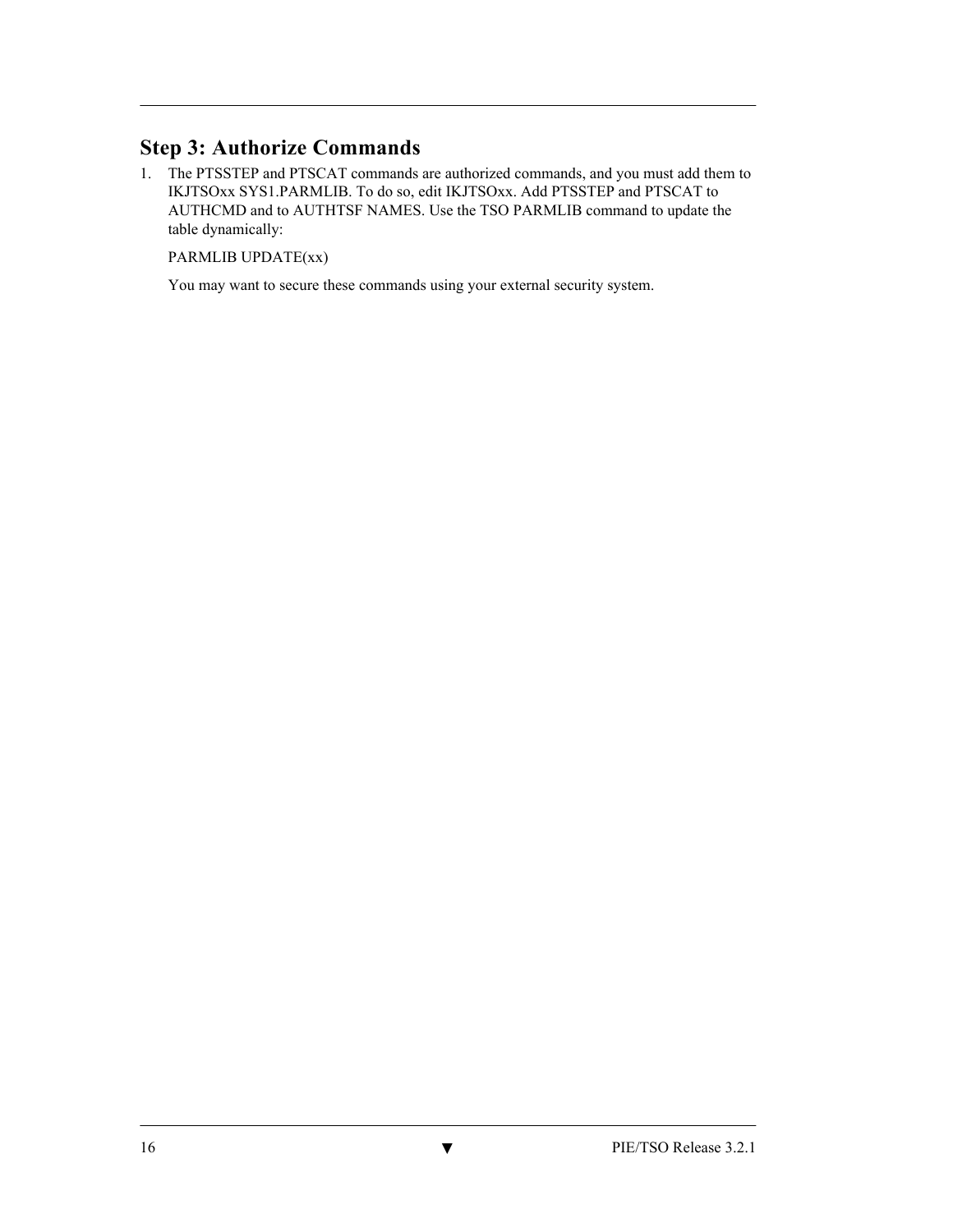### **Step 3: Authorize Commands**

1. The PTSSTEP and PTSCAT commands are authorized commands, and you must add them to IKJTSOxx SYS1.PARMLIB. To do so, edit IKJTSOxx. Add PTSSTEP and PTSCAT to AUTHCMD and to AUTHTSF NAMES. Use the TSO PARMLIB command to update the table dynamically:

#### PARMLIB UPDATE(xx)

You may want to secure these commands using your external security system.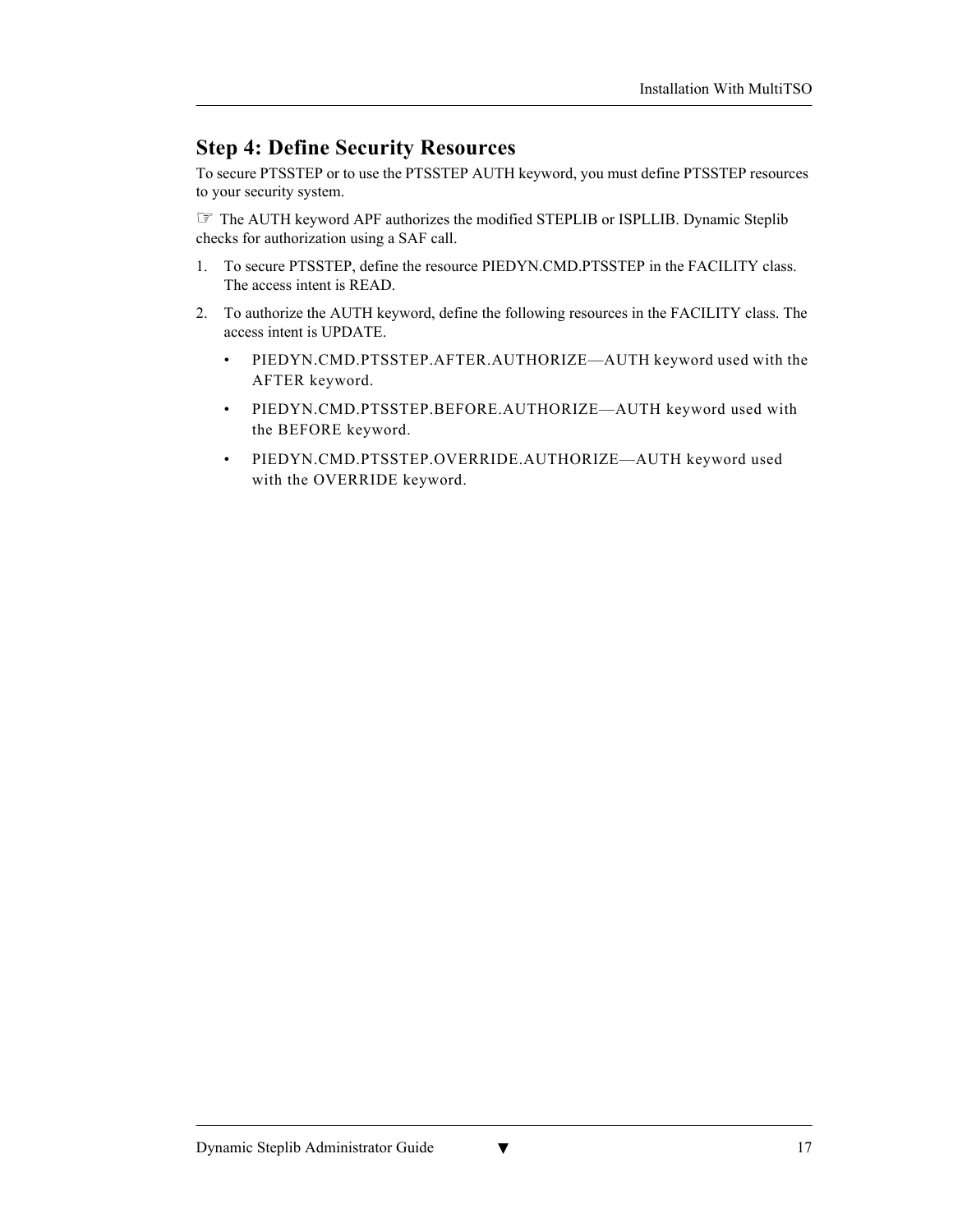### **Step 4: Define Security Resources**

To secure PTSSTEP or to use the PTSSTEP AUTH keyword, you must define PTSSTEP resources to your security system.

☞ The AUTH keyword APF authorizes the modified STEPLIB or ISPLLIB. Dynamic Steplib checks for authorization using a SAF call.

- 1. To secure PTSSTEP, define the resource PIEDYN.CMD.PTSSTEP in the FACILITY class. The access intent is READ.
- 2. To authorize the AUTH keyword, define the following resources in the FACILITY class. The access intent is UPDATE.
	- PIEDYN.CMD.PTSSTEP.AFTER.AUTHORIZE—AUTH keyword used with the AFTER keyword.
	- PIEDYN.CMD.PTSSTEP.BEFORE.AUTHORIZE—AUTH keyword used with the BEFORE keyword.
	- PIEDYN.CMD.PTSSTEP.OVERRIDE.AUTHORIZE—AUTH keyword used with the OVERRIDE keyword.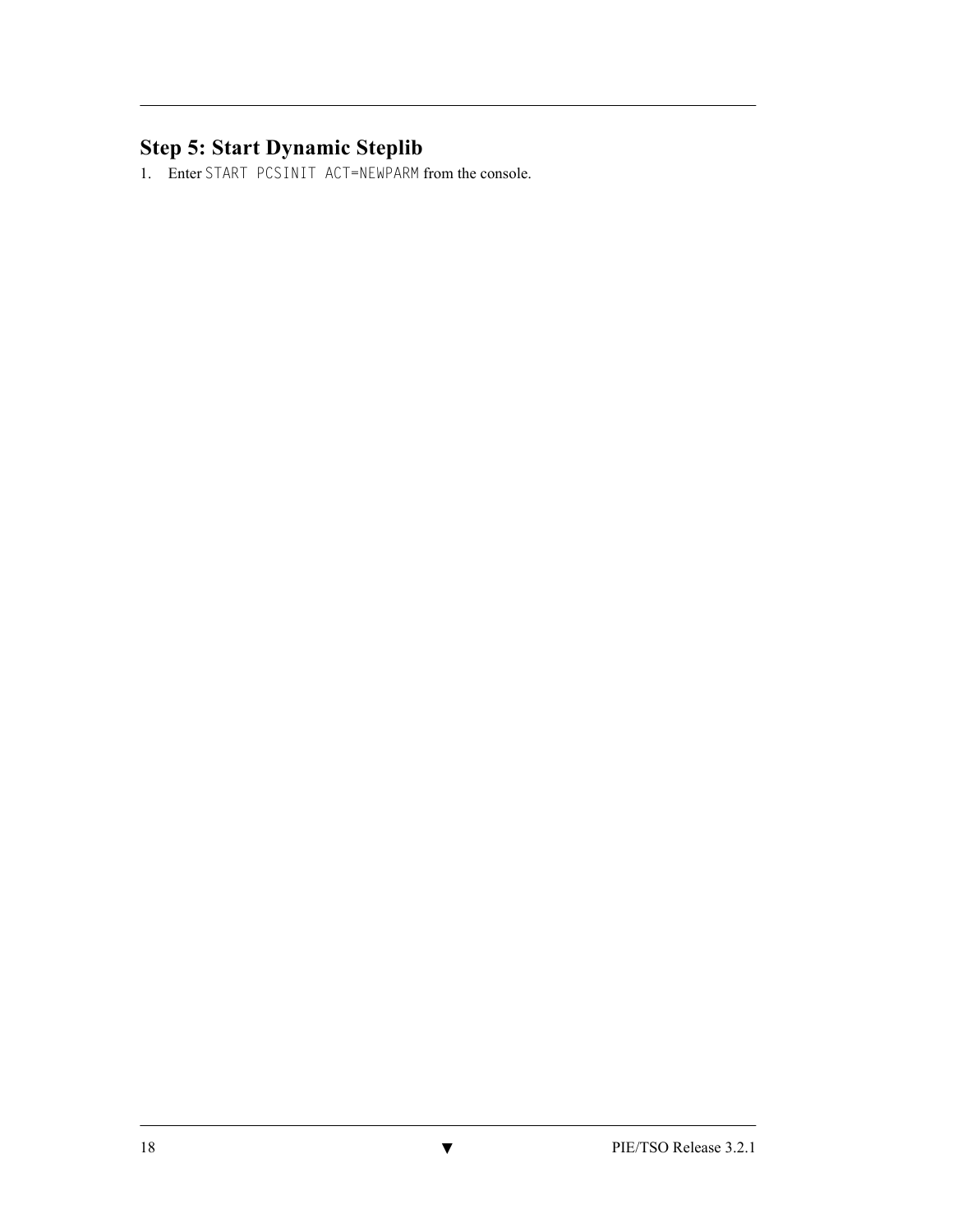# **Step 5: Start Dynamic Steplib**

1. Enter START PCSINIT ACT=NEWPARM from the console.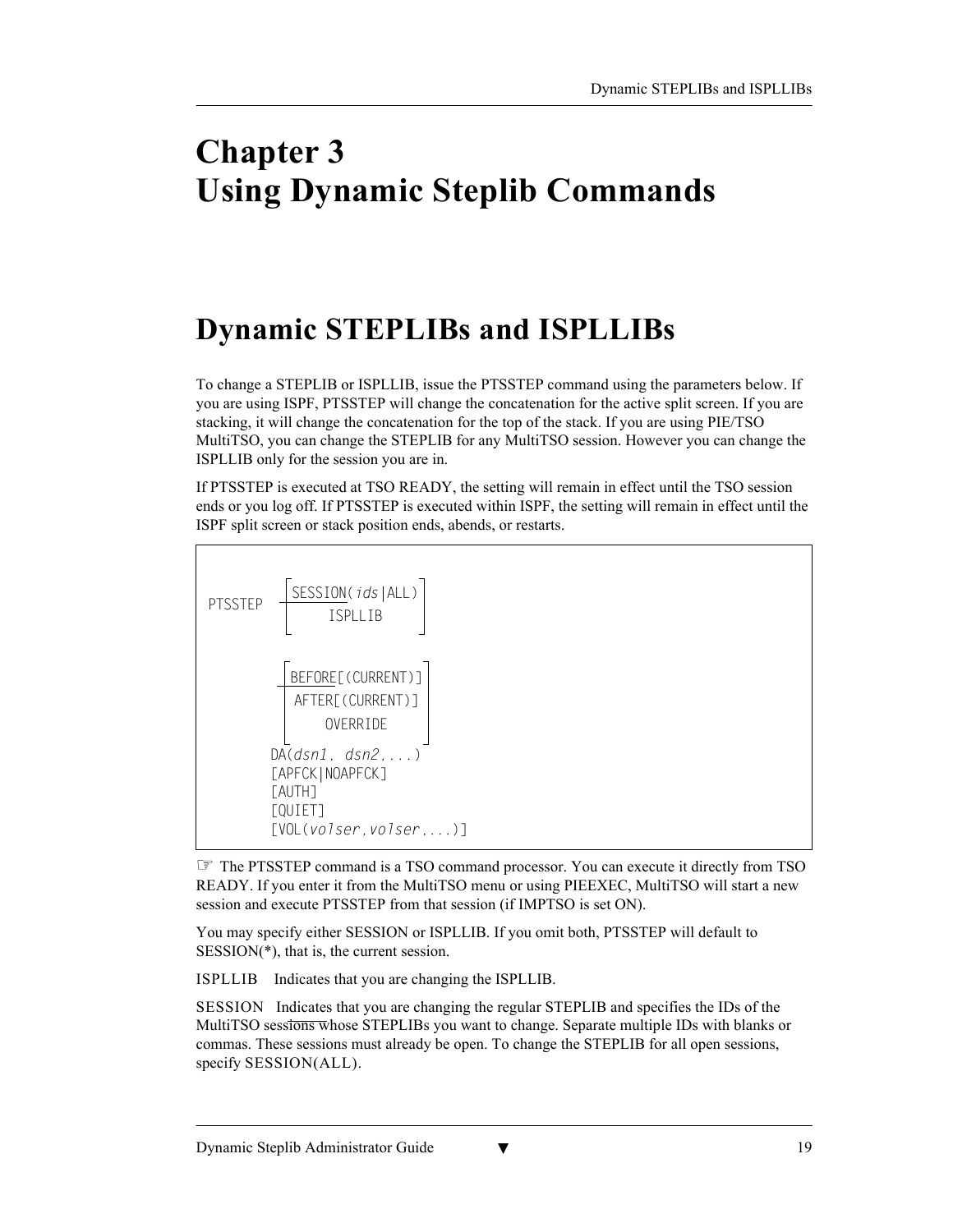# **Chapter 3 Using Dynamic Steplib Commands**

# **Dynamic STEPLIBs and ISPLLIBs**

To change a STEPLIB or ISPLLIB, issue the PTSSTEP command using the parameters below. If you are using ISPF, PTSSTEP will change the concatenation for the active split screen. If you are stacking, it will change the concatenation for the top of the stack. If you are using PIE/TSO MultiTSO, you can change the STEPLIB for any MultiTSO session. However you can change the ISPLLIB only for the session you are in.

If PTSSTEP is executed at TSO READY, the setting will remain in effect until the TSO session ends or you log off. If PTSSTEP is executed within ISPF, the setting will remain in effect until the ISPF split screen or stack position ends, abends, or restarts.



☞ The PTSSTEP command is a TSO command processor. You can execute it directly from TSO READY. If you enter it from the MultiTSO menu or using PIEEXEC, MultiTSO will start a new session and execute PTSSTEP from that session (if IMPTSO is set ON).

You may specify either SESSION or ISPLLIB. If you omit both, PTSSTEP will default to SESSION(\*), that is, the current session.

ISPLLIB Indicates that you are changing the ISPLLIB.

SESSION Indicates that you are changing the regular STEPLIB and specifies the IDs of the MultiTSO sessions whose STEPLIBs you want to change. Separate multiple IDs with blanks or commas. These sessions must already be open. To change the STEPLIB for all open sessions, specify SESSION(ALL).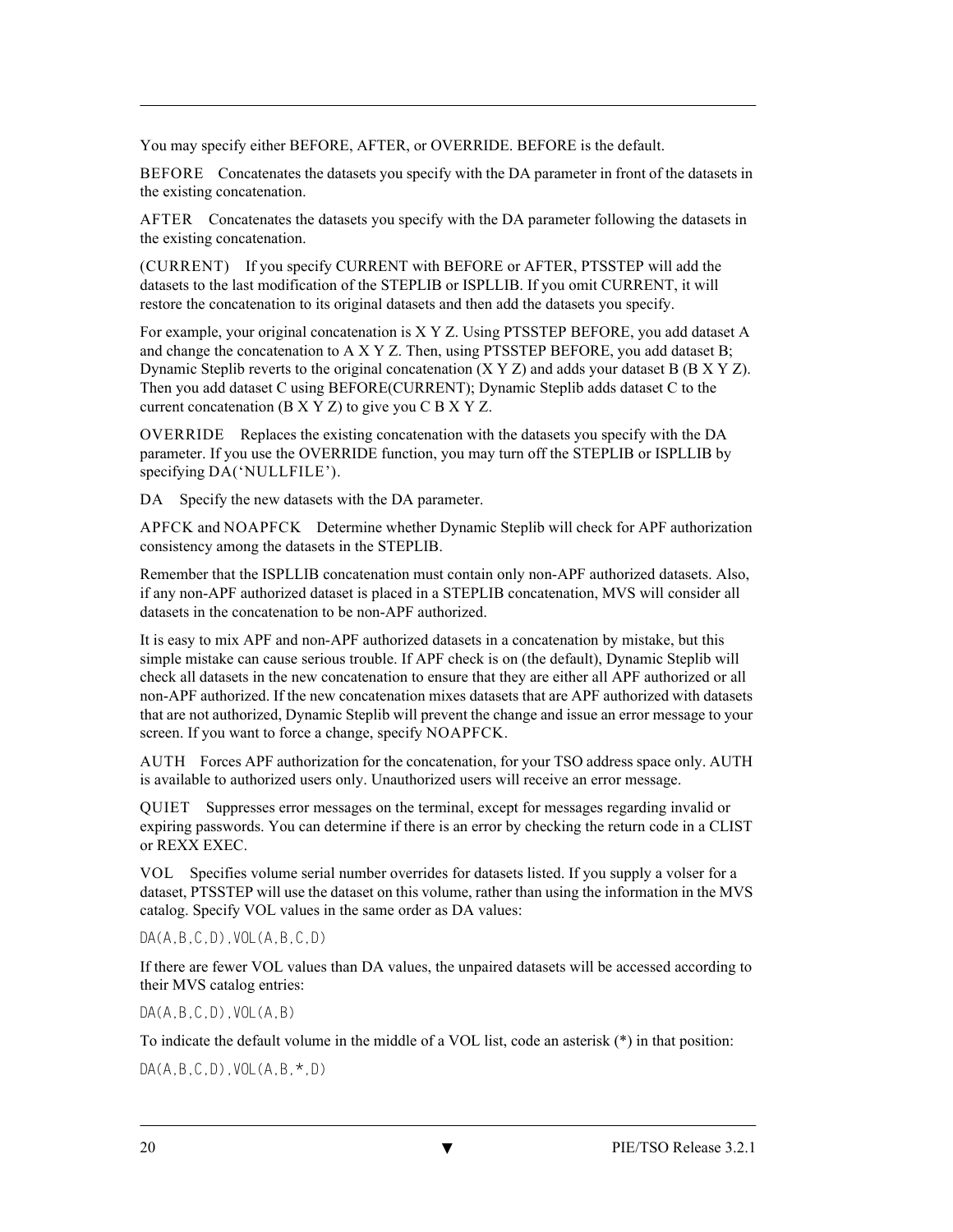You may specify either BEFORE, AFTER, or OVERRIDE. BEFORE is the default.

BEFORE Concatenates the datasets you specify with the DA parameter in front of the datasets in the existing concatenation.

AFTER Concatenates the datasets you specify with the DA parameter following the datasets in the existing concatenation.

(CURRENT) If you specify CURRENT with BEFORE or AFTER, PTSSTEP will add the datasets to the last modification of the STEPLIB or ISPLLIB. If you omit CURRENT, it will restore the concatenation to its original datasets and then add the datasets you specify.

For example, your original concatenation is X Y Z. Using PTSSTEP BEFORE, you add dataset A and change the concatenation to A X Y Z. Then, using PTSSTEP BEFORE, you add dataset B; Dynamic Steplib reverts to the original concatenation  $(X \ Y Z)$  and adds your dataset B (B  $X \ Y Z$ ). Then you add dataset C using BEFORE(CURRENT); Dynamic Steplib adds dataset C to the current concatenation  $(B X Y Z)$  to give you  $C B X Y Z$ .

OVERRIDE Replaces the existing concatenation with the datasets you specify with the DA parameter. If you use the OVERRIDE function, you may turn off the STEPLIB or ISPLLIB by specifying DA('NULLFILE').

DA Specify the new datasets with the DA parameter.

APFCK and NOAPFCK Determine whether Dynamic Steplib will check for APF authorization consistency among the datasets in the STEPLIB.

Remember that the ISPLLIB concatenation must contain only non-APF authorized datasets. Also, if any non-APF authorized dataset is placed in a STEPLIB concatenation, MVS will consider all datasets in the concatenation to be non-APF authorized.

It is easy to mix APF and non-APF authorized datasets in a concatenation by mistake, but this simple mistake can cause serious trouble. If APF check is on (the default), Dynamic Steplib will check all datasets in the new concatenation to ensure that they are either all APF authorized or all non-APF authorized. If the new concatenation mixes datasets that are APF authorized with datasets that are not authorized, Dynamic Steplib will prevent the change and issue an error message to your screen. If you want to force a change, specify NOAPFCK.

AUTH Forces APF authorization for the concatenation, for your TSO address space only. AUTH is available to authorized users only. Unauthorized users will receive an error message.

QUIET Suppresses error messages on the terminal, except for messages regarding invalid or expiring passwords. You can determine if there is an error by checking the return code in a CLIST or REXX EXEC.

VOL Specifies volume serial number overrides for datasets listed. If you supply a volser for a dataset, PTSSTEP will use the dataset on this volume, rather than using the information in the MVS catalog. Specify VOL values in the same order as DA values:

 $DA(A, B, C, D)$ ,  $VOL(A, B, C, D)$ 

If there are fewer VOL values than DA values, the unpaired datasets will be accessed according to their MVS catalog entries:

 $DA(A, B, C, D)$ ,  $VOL(A, B)$ 

To indicate the default volume in the middle of a VOL list, code an asterisk (\*) in that position:

 $DA(A, B, C, D)$ ,  $VOL(A, B, *, D)$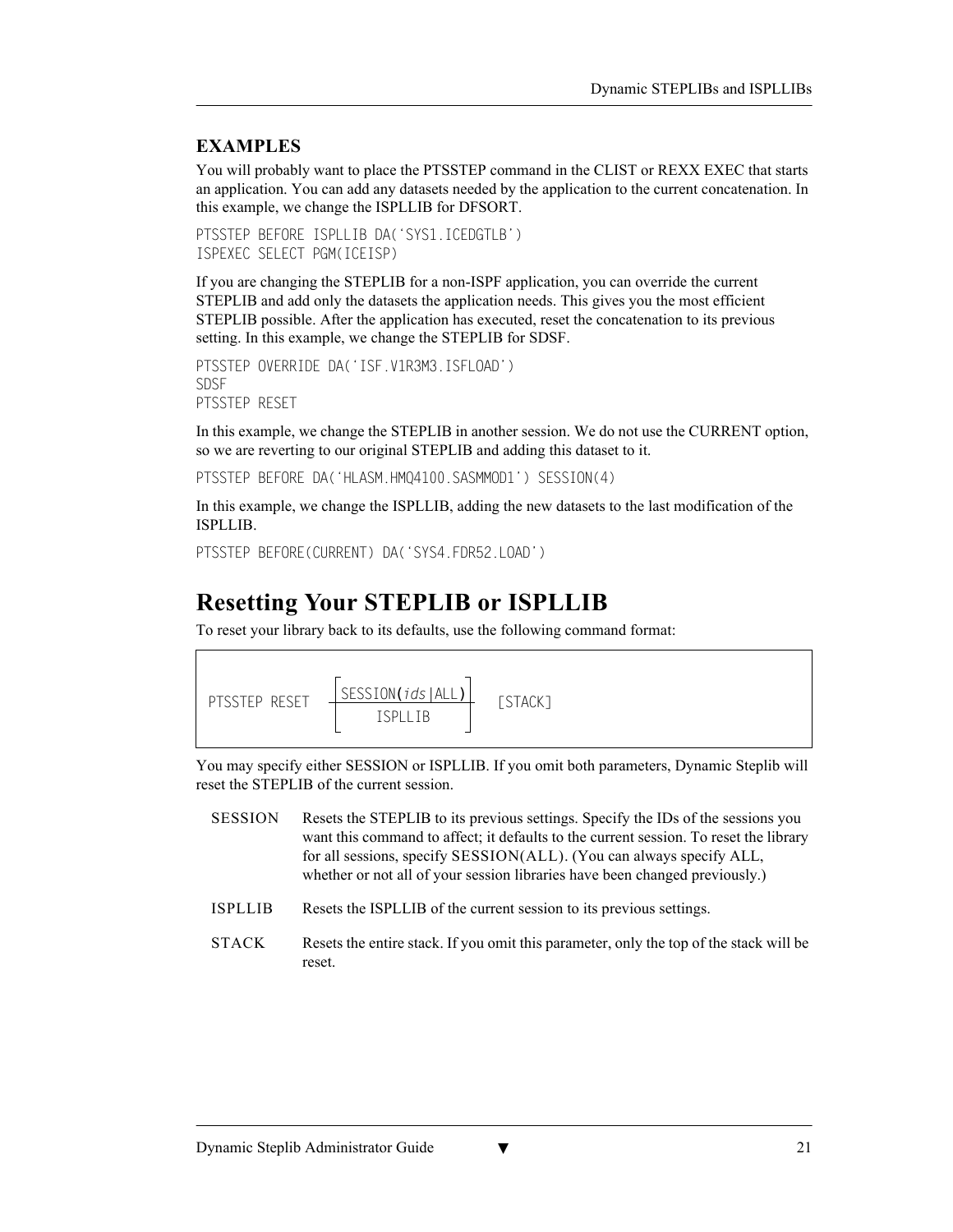#### **EXAMPLES**

You will probably want to place the PTSSTEP command in the CLIST or REXX EXEC that starts an application. You can add any datasets needed by the application to the current concatenation. In this example, we change the ISPLLIB for DFSORT.

PTSSTEP BEFORE ISPLLIB DA('SYS1.ICEDGTLB') ISPEXEC SELECT PGM(ICEISP)

If you are changing the STEPLIB for a non-ISPF application, you can override the current STEPLIB and add only the datasets the application needs. This gives you the most efficient STEPLIB possible. After the application has executed, reset the concatenation to its previous setting. In this example, we change the STEPLIB for SDSF.

```
PTSSTEP OVERRIDE DA('ISF.V1R3M3.ISFLOAD')
SDSF
PTSSTEP RESET
```
In this example, we change the STEPLIB in another session. We do not use the CURRENT option, so we are reverting to our original STEPLIB and adding this dataset to it.

PTSSTEP BEFORE DA('HLASM.HMQ4100.SASMMOD1') SESSION(4)

In this example, we change the ISPLLIB, adding the new datasets to the last modification of the ISPLLIB.

PTSSTEP BEFORE(CURRENT) DA('SYS4.FDR52.LOAD')

### **Resetting Your STEPLIB or ISPLLIB**

To reset your library back to its defaults, use the following command format:



You may specify either SESSION or ISPLLIB. If you omit both parameters, Dynamic Steplib will reset the STEPLIB of the current session.

- SESSION Resets the STEPLIB to its previous settings. Specify the IDs of the sessions you want this command to affect; it defaults to the current session. To reset the library for all sessions, specify SESSION(ALL). (You can always specify ALL, whether or not all of your session libraries have been changed previously.)
- ISPLLIB Resets the ISPLLIB of the current session to its previous settings.
- STACK Resets the entire stack. If you omit this parameter, only the top of the stack will be reset.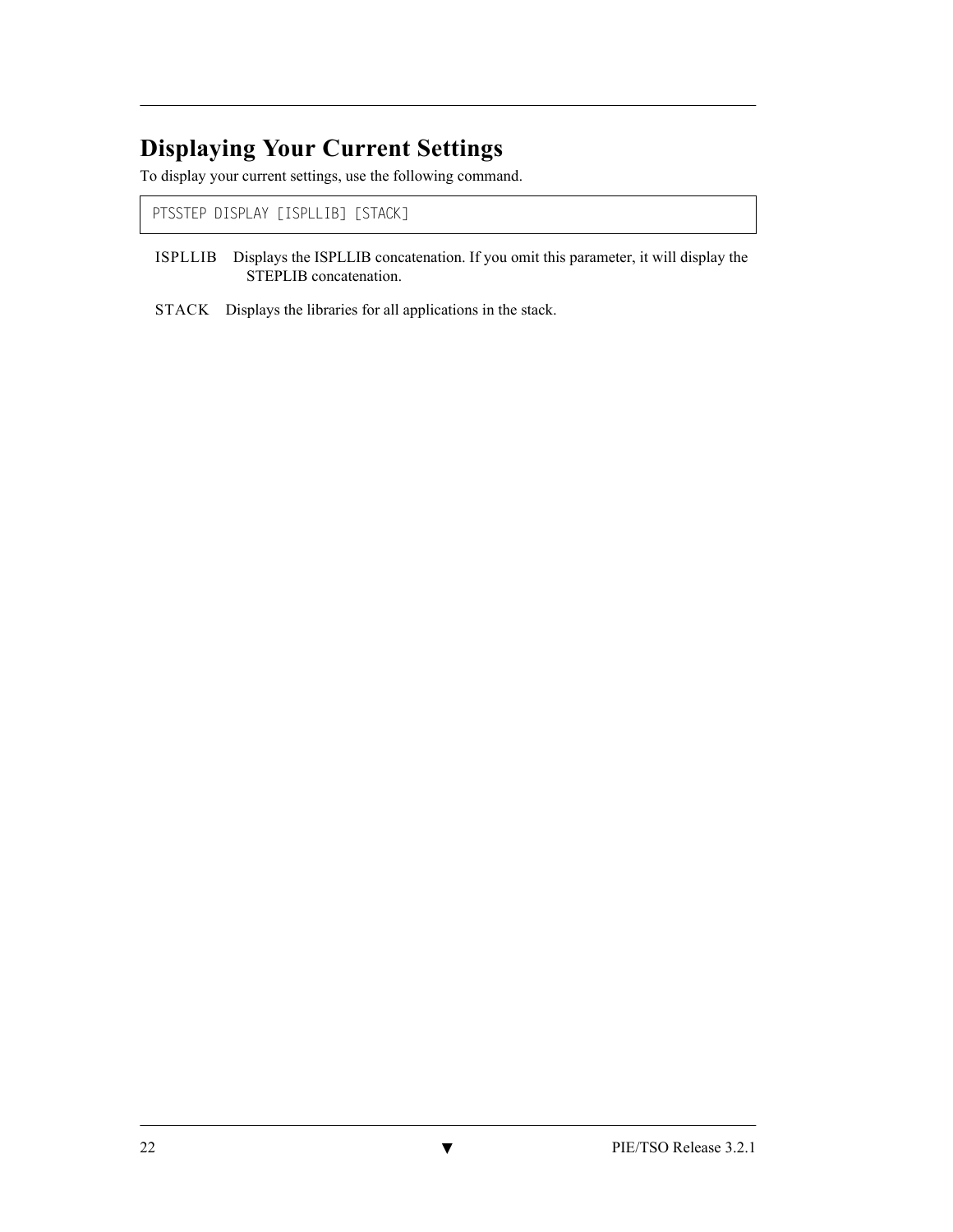# **Displaying Your Current Settings**

To display your current settings, use the following command.

PTSSTEP DISPLAY [ISPLLIB] [STACK]

- ISPLLIB Displays the ISPLLIB concatenation. If you omit this parameter, it will display the STEPLIB concatenation.
- STACK Displays the libraries for all applications in the stack.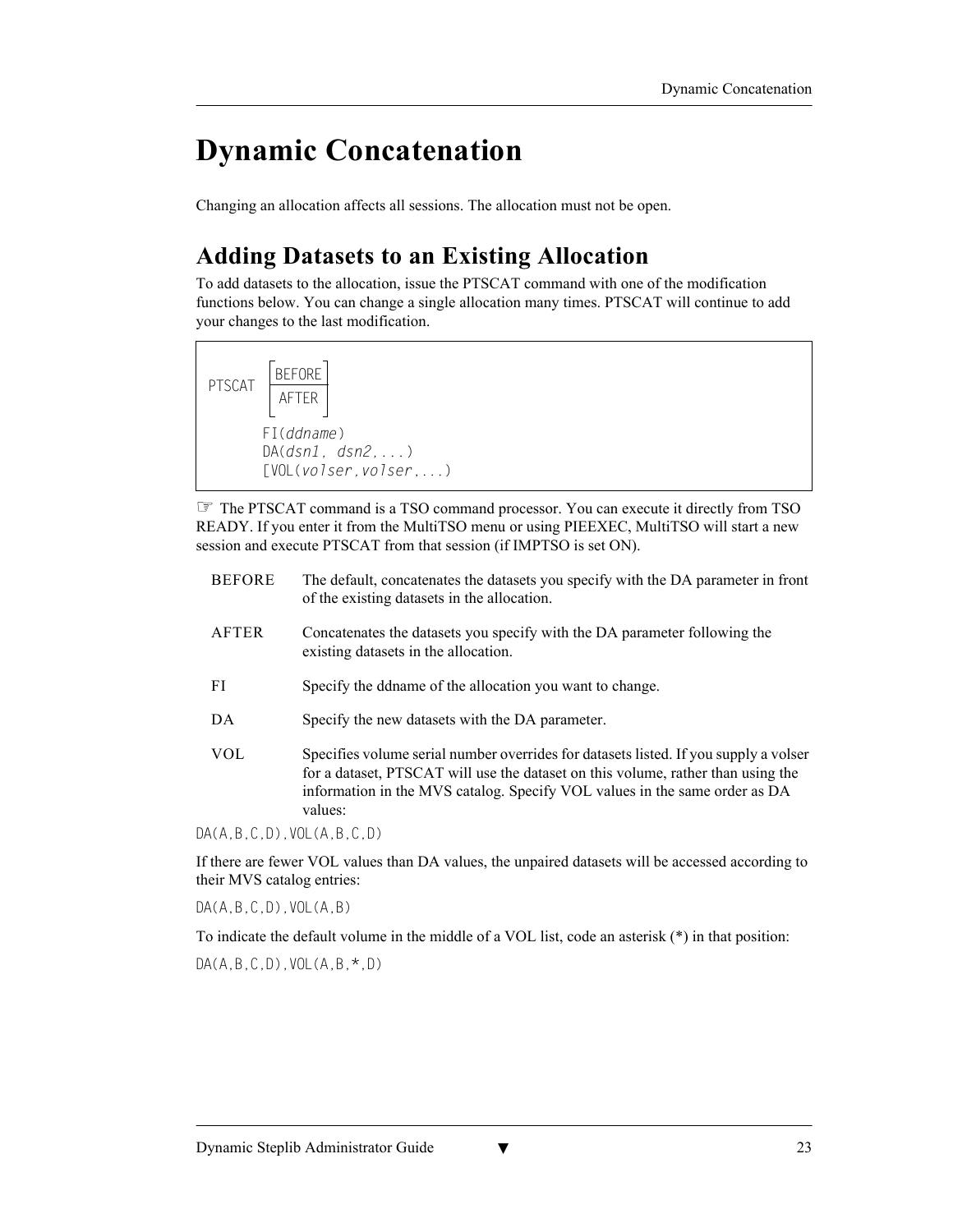# **Dynamic Concatenation**

Changing an allocation affects all sessions. The allocation must not be open.

# **Adding Datasets to an Existing Allocation**

To add datasets to the allocation, issue the PTSCAT command with one of the modification functions below. You can change a single allocation many times. PTSCAT will continue to add your changes to the last modification.

PTSCAT FI(*ddname*) DA(*dsn1, dsn2,...*) [VOL(*volser,volser*,...) BEFORE AFTER

☞ The PTSCAT command is a TSO command processor. You can execute it directly from TSO READY. If you enter it from the MultiTSO menu or using PIEEXEC, MultiTSO will start a new session and execute PTSCAT from that session (if IMPTSO is set ON).

| <b>BEFORE</b> | The default, concatenates the datasets you specify with the DA parameter in front<br>of the existing datasets in the allocation. |
|---------------|----------------------------------------------------------------------------------------------------------------------------------|
| AFTER         | Concatenates the datasets you specify with the DA parameter following the<br>existing datasets in the allocation.                |
| - FI          | Specify the ddname of the allocation you want to change.                                                                         |
| DA            | Specify the new datasets with the DA parameter.                                                                                  |
| VOL           | Specifies volume serial number overrides for datasets listed. If you supply a volser                                             |

for a dataset, PTSCAT will use the dataset on this volume, rather than using the information in the MVS catalog. Specify VOL values in the same order as DA values:

DA(A,B,C,D),VOL(A,B,C,D)

If there are fewer VOL values than DA values, the unpaired datasets will be accessed according to their MVS catalog entries:

 $DA(A, B, C, D)$ ,  $VOL(A, B)$ 

To indicate the default volume in the middle of a VOL list, code an asterisk (\*) in that position:

 $DA(A, B, C, D)$ ,  $VOL(A, B, *, D)$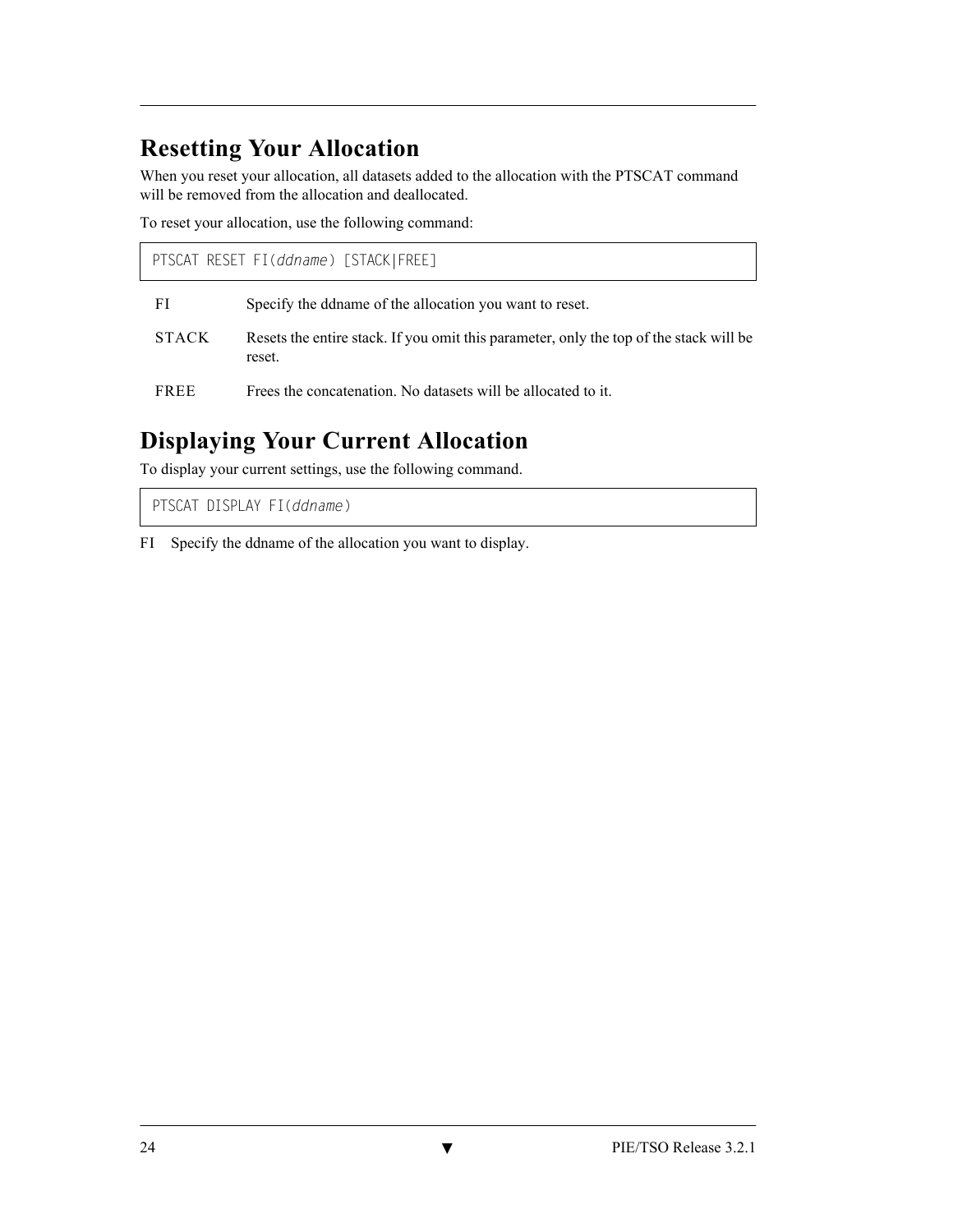# **Resetting Your Allocation**

When you reset your allocation, all datasets added to the allocation with the PTSCAT command will be removed from the allocation and deallocated.

To reset your allocation, use the following command:

| PTSCAT RESET FI(ddname) [STACK FREE] |                                                                                                  |  |  |  |
|--------------------------------------|--------------------------------------------------------------------------------------------------|--|--|--|
| FI                                   | Specify the ddname of the allocation you want to reset.                                          |  |  |  |
| <b>STACK</b>                         | Resets the entire stack. If you omit this parameter, only the top of the stack will be<br>reset. |  |  |  |
| <b>FREE</b>                          | Frees the concatenation. No datasets will be allocated to it.                                    |  |  |  |

## **Displaying Your Current Allocation**

To display your current settings, use the following command.

PTSCAT DISPLAY FI(*ddname*)

FI Specify the ddname of the allocation you want to display.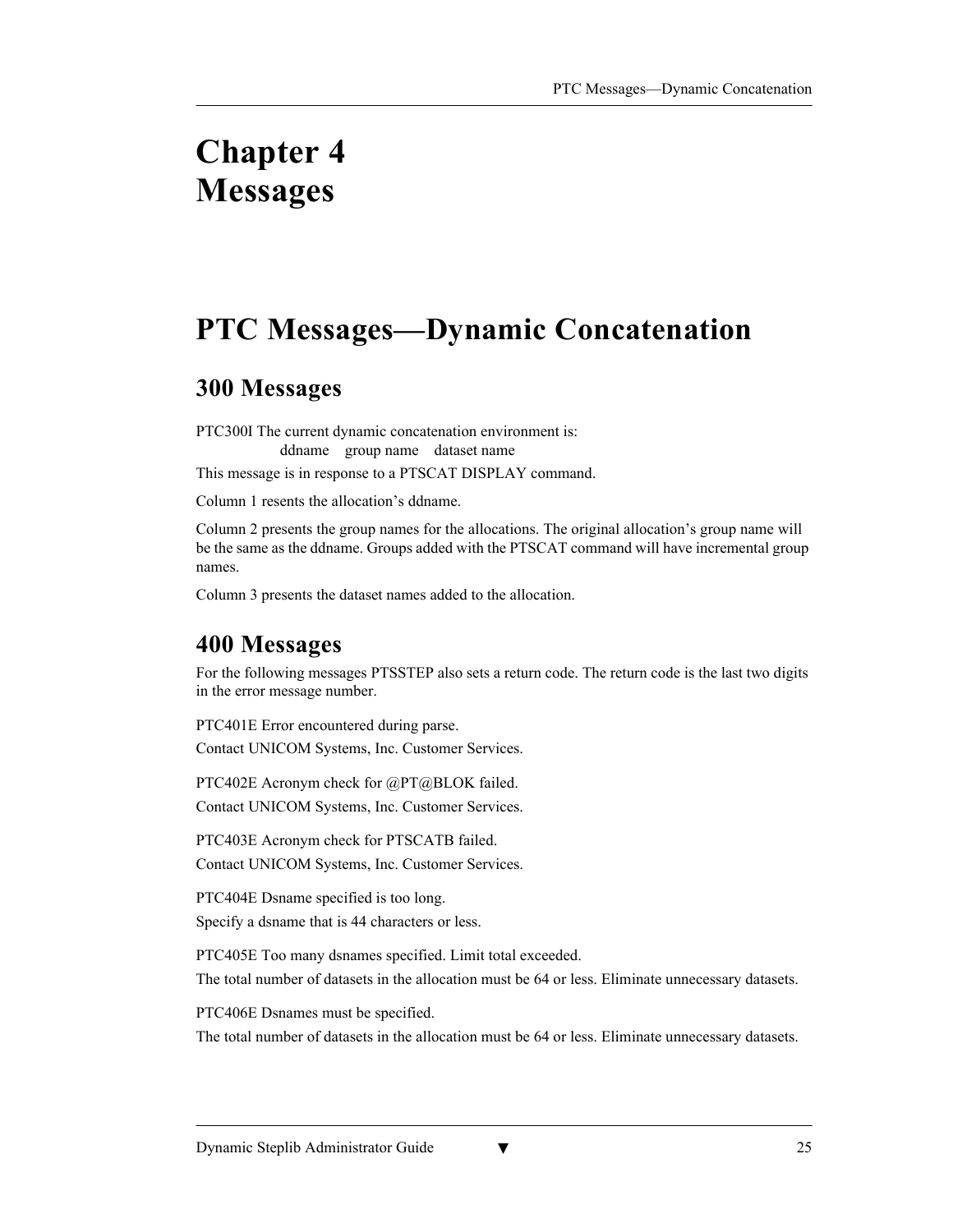# **Chapter 4 Messages**

# **PTC Messages—Dynamic Concatenation**

### **300 Messages**

PTC300I The current dynamic concatenation environment is: ddname group name dataset name

This message is in response to a PTSCAT DISPLAY command.

Column 1 resents the allocation's ddname.

Column 2 presents the group names for the allocations. The original allocation's group name will be the same as the ddname. Groups added with the PTSCAT command will have incremental group names.

Column 3 presents the dataset names added to the allocation.

### **400 Messages**

For the following messages PTSSTEP also sets a return code. The return code is the last two digits in the error message number.

PTC401E Error encountered during parse. Contact UNICOM Systems, Inc. Customer Services.

PTC402E Acronym check for @PT@BLOK failed. Contact UNICOM Systems, Inc. Customer Services.

PTC403E Acronym check for PTSCATB failed. Contact UNICOM Systems, Inc. Customer Services.

PTC404E Dsname specified is too long. Specify a dsname that is 44 characters or less.

PTC405E Too many dsnames specified. Limit total exceeded. The total number of datasets in the allocation must be 64 or less. Eliminate unnecessary datasets.

PTC406E Dsnames must be specified.

The total number of datasets in the allocation must be 64 or less. Eliminate unnecessary datasets.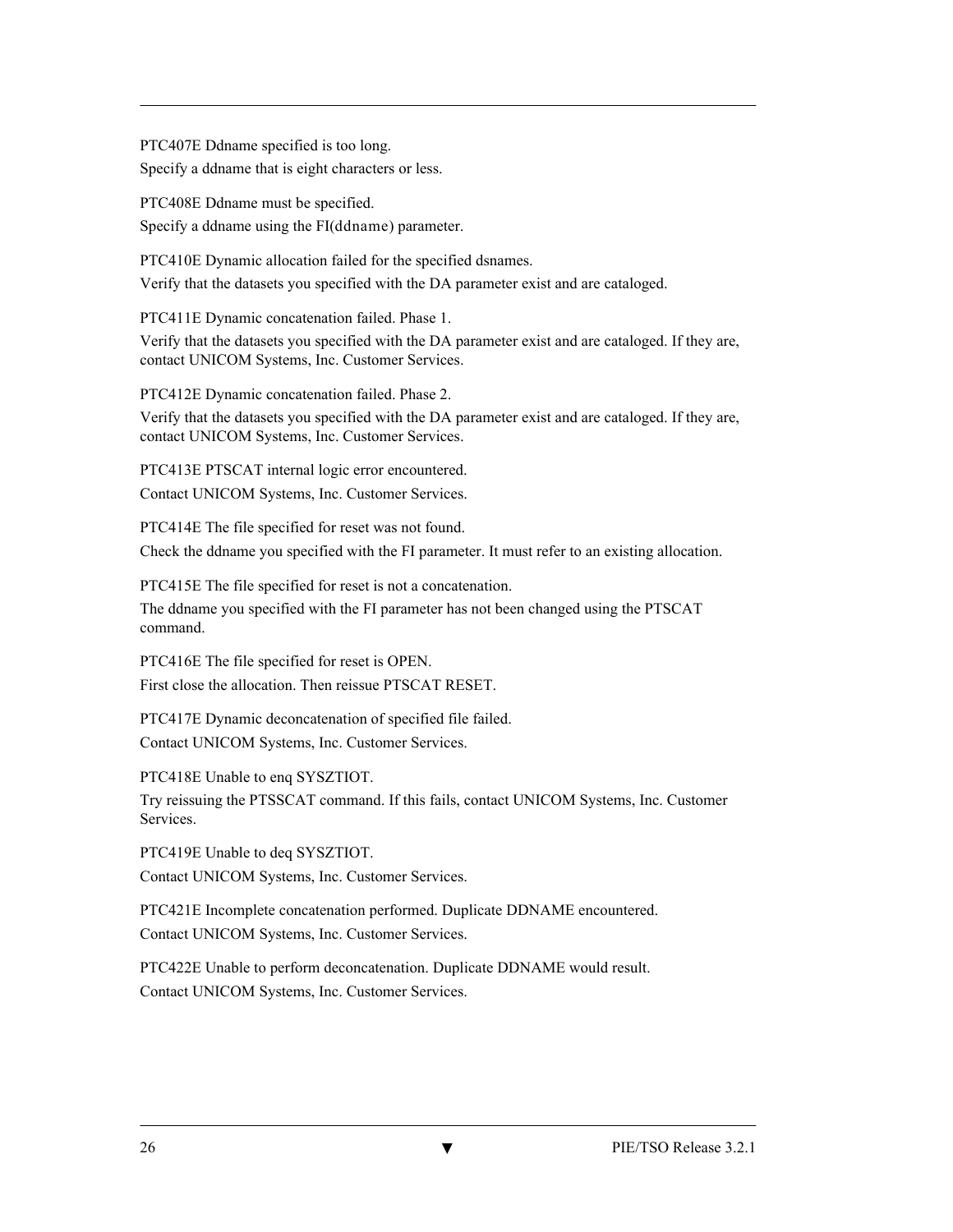PTC407E Ddname specified is too long. Specify a ddname that is eight characters or less.

PTC408E Ddname must be specified. Specify a ddname using the FI(ddname) parameter.

PTC410E Dynamic allocation failed for the specified dsnames. Verify that the datasets you specified with the DA parameter exist and are cataloged.

PTC411E Dynamic concatenation failed. Phase 1.

Verify that the datasets you specified with the DA parameter exist and are cataloged. If they are, contact UNICOM Systems, Inc. Customer Services.

PTC412E Dynamic concatenation failed. Phase 2. Verify that the datasets you specified with the DA parameter exist and are cataloged. If they are,

contact UNICOM Systems, Inc. Customer Services.

PTC413E PTSCAT internal logic error encountered. Contact UNICOM Systems, Inc. Customer Services.

PTC414E The file specified for reset was not found. Check the ddname you specified with the FI parameter. It must refer to an existing allocation.

PTC415E The file specified for reset is not a concatenation.

The ddname you specified with the FI parameter has not been changed using the PTSCAT command.

PTC416E The file specified for reset is OPEN. First close the allocation. Then reissue PTSCAT RESET.

PTC417E Dynamic deconcatenation of specified file failed. Contact UNICOM Systems, Inc. Customer Services.

PTC418E Unable to enq SYSZTIOT.

Try reissuing the PTSSCAT command. If this fails, contact UNICOM Systems, Inc. Customer **Services** 

PTC419E Unable to deq SYSZTIOT. Contact UNICOM Systems, Inc. Customer Services.

PTC421E Incomplete concatenation performed. Duplicate DDNAME encountered. Contact UNICOM Systems, Inc. Customer Services.

PTC422E Unable to perform deconcatenation. Duplicate DDNAME would result. Contact UNICOM Systems, Inc. Customer Services.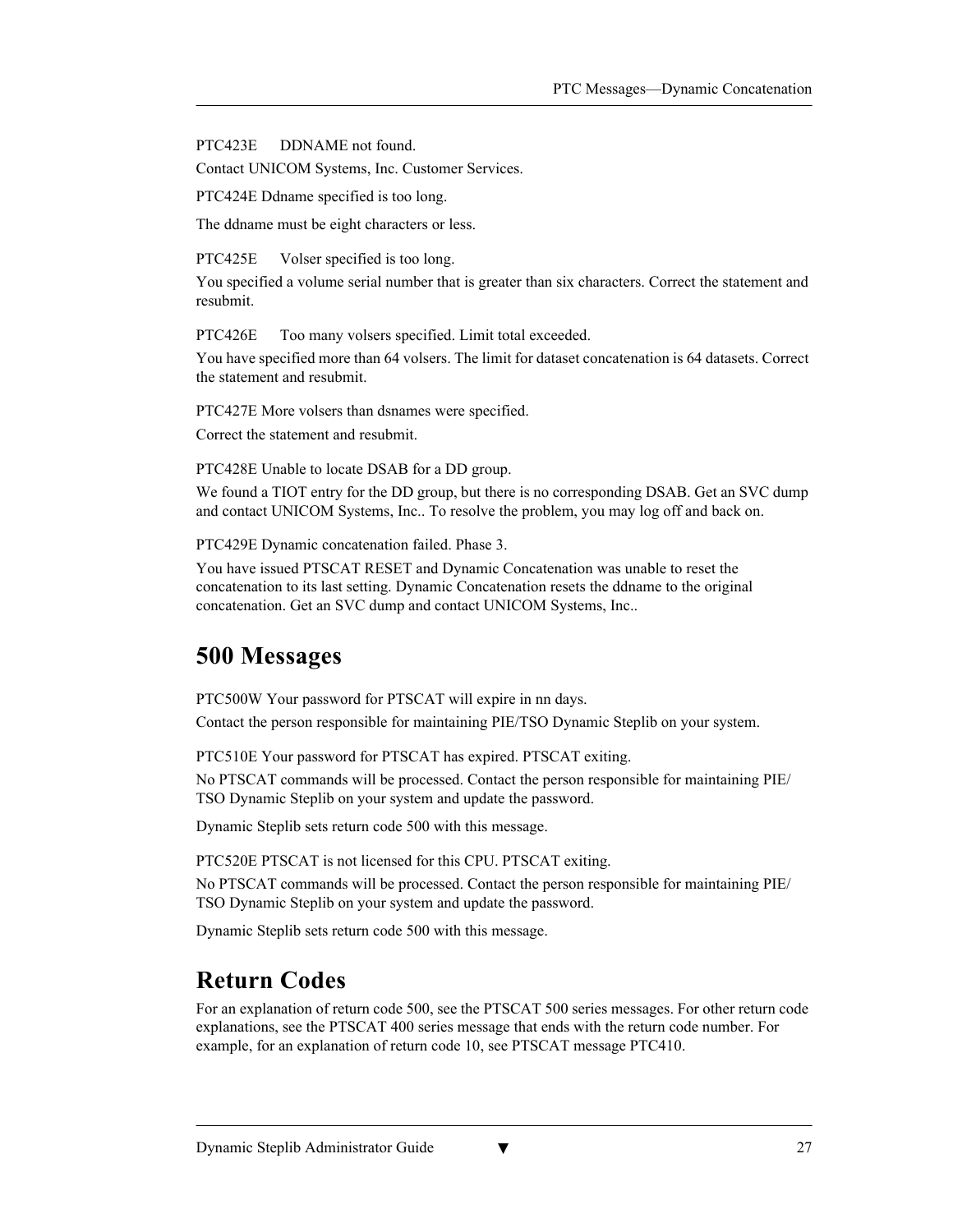PTC423E DDNAME not found.

Contact UNICOM Systems, Inc. Customer Services.

PTC424E Ddname specified is too long.

The ddname must be eight characters or less.

PTC425E Volser specified is too long.

You specified a volume serial number that is greater than six characters. Correct the statement and resubmit.

PTC426E Too many volsers specified. Limit total exceeded.

You have specified more than 64 volsers. The limit for dataset concatenation is 64 datasets. Correct the statement and resubmit.

PTC427E More volsers than dsnames were specified.

Correct the statement and resubmit.

PTC428E Unable to locate DSAB for a DD group.

We found a TIOT entry for the DD group, but there is no corresponding DSAB. Get an SVC dump and contact UNICOM Systems, Inc.. To resolve the problem, you may log off and back on.

PTC429E Dynamic concatenation failed. Phase 3.

You have issued PTSCAT RESET and Dynamic Concatenation was unable to reset the concatenation to its last setting. Dynamic Concatenation resets the ddname to the original concatenation. Get an SVC dump and contact UNICOM Systems, Inc..

### **500 Messages**

PTC500W Your password for PTSCAT will expire in nn days.

Contact the person responsible for maintaining PIE/TSO Dynamic Steplib on your system.

PTC510E Your password for PTSCAT has expired. PTSCAT exiting.

No PTSCAT commands will be processed. Contact the person responsible for maintaining PIE/ TSO Dynamic Steplib on your system and update the password.

Dynamic Steplib sets return code 500 with this message.

PTC520E PTSCAT is not licensed for this CPU. PTSCAT exiting.

No PTSCAT commands will be processed. Contact the person responsible for maintaining PIE/ TSO Dynamic Steplib on your system and update the password.

Dynamic Steplib sets return code 500 with this message.

# **Return Codes**

For an explanation of return code 500, see the PTSCAT 500 series messages. For other return code explanations, see the PTSCAT 400 series message that ends with the return code number. For example, for an explanation of return code 10, see PTSCAT message PTC410.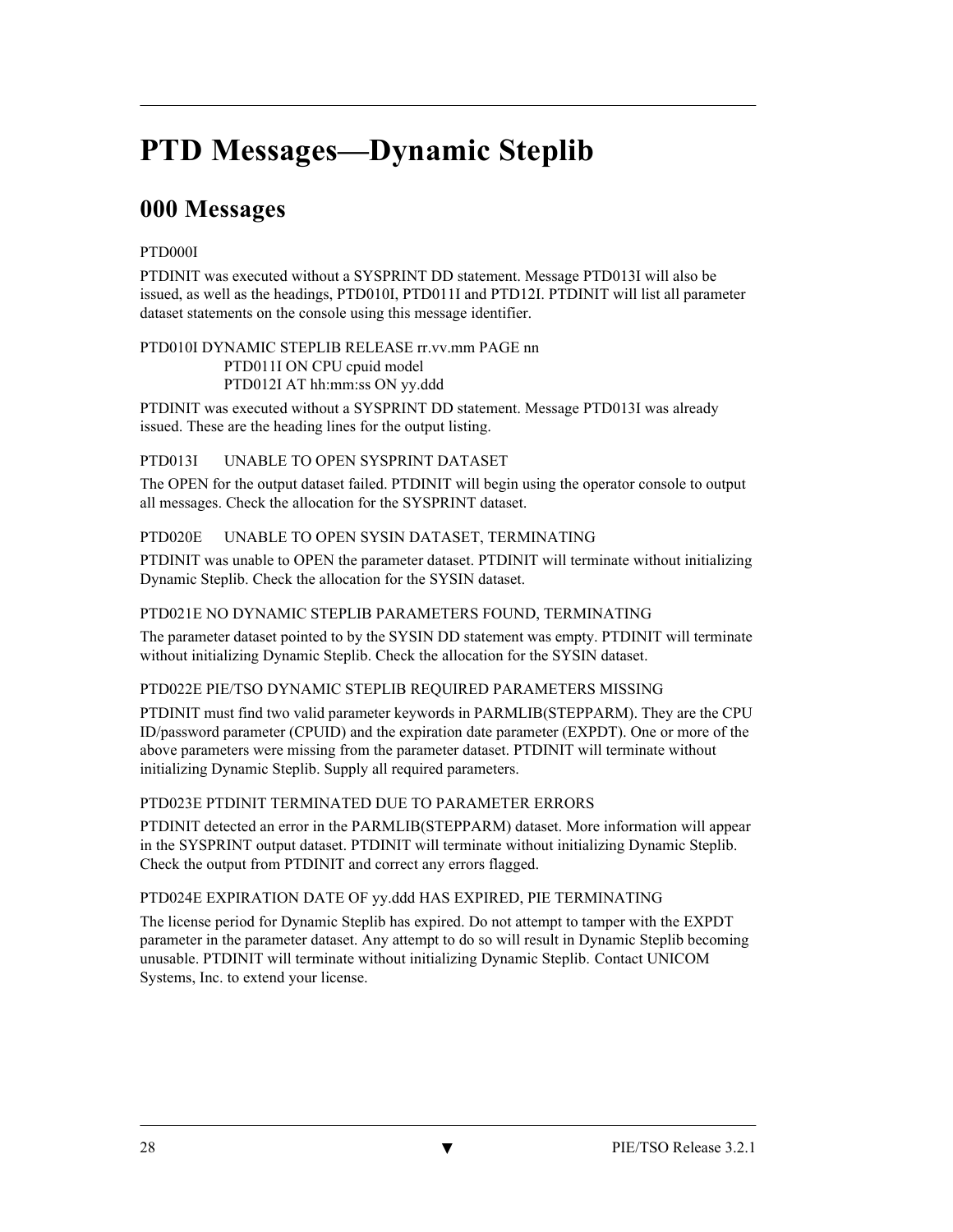# **PTD Messages—Dynamic Steplib**

### **000 Messages**

#### PTD000I

PTDINIT was executed without a SYSPRINT DD statement. Message PTD013I will also be issued, as well as the headings, PTD010I, PTD011I and PTD12I. PTDINIT will list all parameter dataset statements on the console using this message identifier.

PTD010I DYNAMIC STEPLIB RELEASE rr.vv.mm PAGE nn PTD011I ON CPU cpuid model PTD012I AT hh:mm:ss ON yy.ddd

PTDINIT was executed without a SYSPRINT DD statement. Message PTD013I was already issued. These are the heading lines for the output listing.

#### PTD013I UNABLE TO OPEN SYSPRINT DATASET

The OPEN for the output dataset failed. PTDINIT will begin using the operator console to output all messages. Check the allocation for the SYSPRINT dataset.

#### PTD020E UNABLE TO OPEN SYSIN DATASET, TERMINATING

PTDINIT was unable to OPEN the parameter dataset. PTDINIT will terminate without initializing Dynamic Steplib. Check the allocation for the SYSIN dataset.

#### PTD021E NO DYNAMIC STEPLIB PARAMETERS FOUND, TERMINATING

The parameter dataset pointed to by the SYSIN DD statement was empty. PTDINIT will terminate without initializing Dynamic Steplib. Check the allocation for the SYSIN dataset.

#### PTD022E PIE/TSO DYNAMIC STEPLIB REQUIRED PARAMETERS MISSING

PTDINIT must find two valid parameter keywords in PARMLIB(STEPPARM). They are the CPU ID/password parameter (CPUID) and the expiration date parameter (EXPDT). One or more of the above parameters were missing from the parameter dataset. PTDINIT will terminate without initializing Dynamic Steplib. Supply all required parameters.

#### PTD023E PTDINIT TERMINATED DUE TO PARAMETER ERRORS

PTDINIT detected an error in the PARMLIB(STEPPARM) dataset. More information will appear in the SYSPRINT output dataset. PTDINIT will terminate without initializing Dynamic Steplib. Check the output from PTDINIT and correct any errors flagged.

#### PTD024E EXPIRATION DATE OF yy.ddd HAS EXPIRED, PIE TERMINATING

The license period for Dynamic Steplib has expired. Do not attempt to tamper with the EXPDT parameter in the parameter dataset. Any attempt to do so will result in Dynamic Steplib becoming unusable. PTDINIT will terminate without initializing Dynamic Steplib. Contact UNICOM Systems, Inc. to extend your license.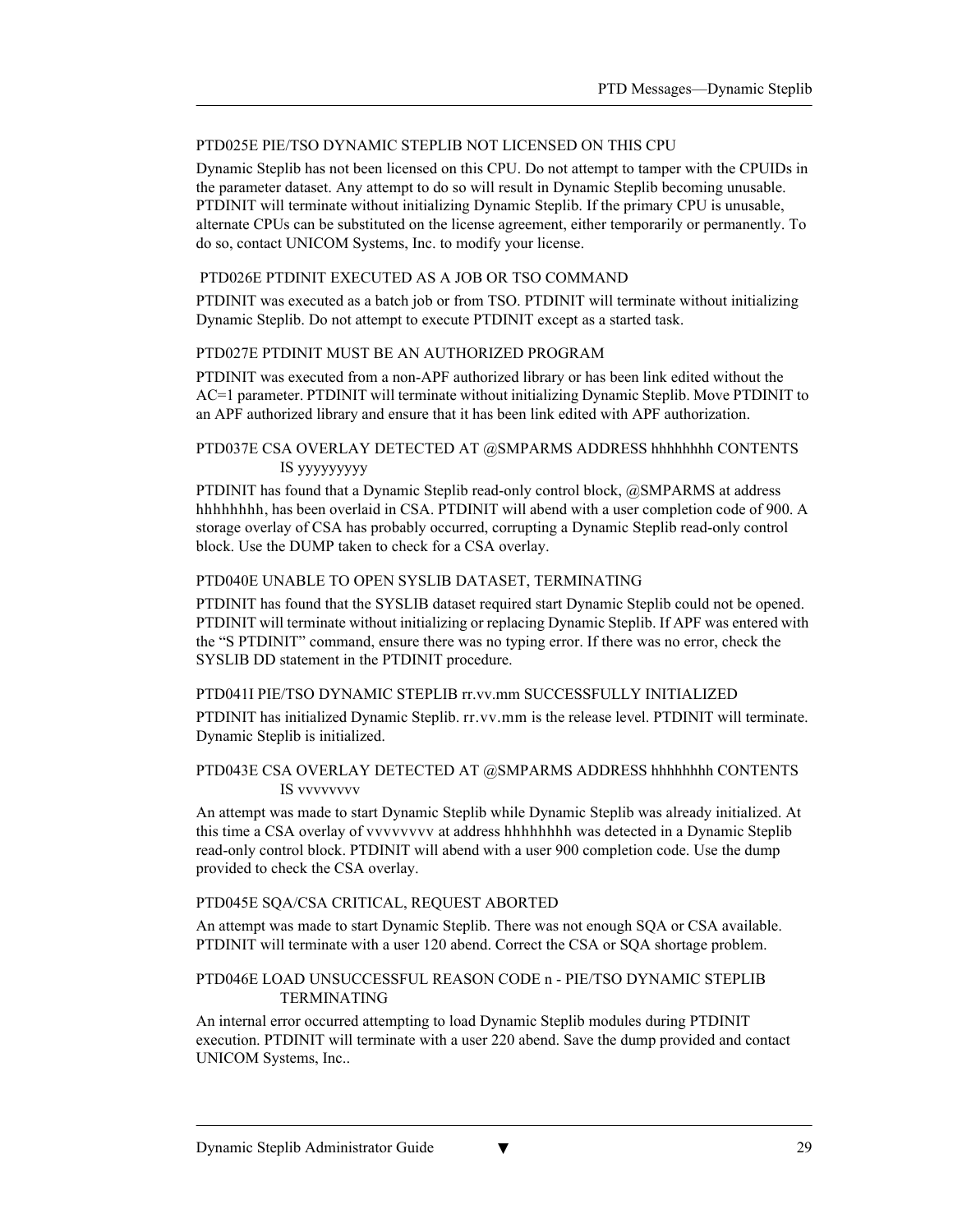#### PTD025E PIE/TSO DYNAMIC STEPLIB NOT LICENSED ON THIS CPU

Dynamic Steplib has not been licensed on this CPU. Do not attempt to tamper with the CPUIDs in the parameter dataset. Any attempt to do so will result in Dynamic Steplib becoming unusable. PTDINIT will terminate without initializing Dynamic Steplib. If the primary CPU is unusable, alternate CPUs can be substituted on the license agreement, either temporarily or permanently. To do so, contact UNICOM Systems, Inc. to modify your license.

#### PTD026E PTDINIT EXECUTED AS A JOB OR TSO COMMAND

PTDINIT was executed as a batch job or from TSO. PTDINIT will terminate without initializing Dynamic Steplib. Do not attempt to execute PTDINIT except as a started task.

#### PTD027E PTDINIT MUST BE AN AUTHORIZED PROGRAM

PTDINIT was executed from a non-APF authorized library or has been link edited without the AC=1 parameter. PTDINIT will terminate without initializing Dynamic Steplib. Move PTDINIT to an APF authorized library and ensure that it has been link edited with APF authorization.

#### PTD037E CSA OVERLAY DETECTED AT @SMPARMS ADDRESS hhhhhhhh CONTENTS IS yyyyyyyyy

PTDINIT has found that a Dynamic Steplib read-only control block, @SMPARMS at address hhhhhhhh, has been overlaid in CSA. PTDINIT will abend with a user completion code of 900. A storage overlay of CSA has probably occurred, corrupting a Dynamic Steplib read-only control block. Use the DUMP taken to check for a CSA overlay.

#### PTD040E UNABLE TO OPEN SYSLIB DATASET, TERMINATING

PTDINIT has found that the SYSLIB dataset required start Dynamic Steplib could not be opened. PTDINIT will terminate without initializing or replacing Dynamic Steplib. If APF was entered with the "S PTDINIT" command, ensure there was no typing error. If there was no error, check the SYSLIB DD statement in the PTDINIT procedure.

#### PTD041I PIE/TSO DYNAMIC STEPLIB rr.vv.mm SUCCESSFULLY INITIALIZED

PTDINIT has initialized Dynamic Steplib. rr.vv.mm is the release level. PTDINIT will terminate. Dynamic Steplib is initialized.

#### PTD043E CSA OVERLAY DETECTED AT @SMPARMS ADDRESS hhhhhhhh CONTENTS IS vvvvvvvv

An attempt was made to start Dynamic Steplib while Dynamic Steplib was already initialized. At this time a CSA overlay of vvvvvvvv at address hhhhhhhh was detected in a Dynamic Steplib read-only control block. PTDINIT will abend with a user 900 completion code. Use the dump provided to check the CSA overlay.

#### PTD045E SQA/CSA CRITICAL, REQUEST ABORTED

An attempt was made to start Dynamic Steplib. There was not enough SQA or CSA available. PTDINIT will terminate with a user 120 abend. Correct the CSA or SQA shortage problem.

#### PTD046E LOAD UNSUCCESSFUL REASON CODE n - PIE/TSO DYNAMIC STEPLIB TERMINATING

An internal error occurred attempting to load Dynamic Steplib modules during PTDINIT execution. PTDINIT will terminate with a user 220 abend. Save the dump provided and contact UNICOM Systems, Inc..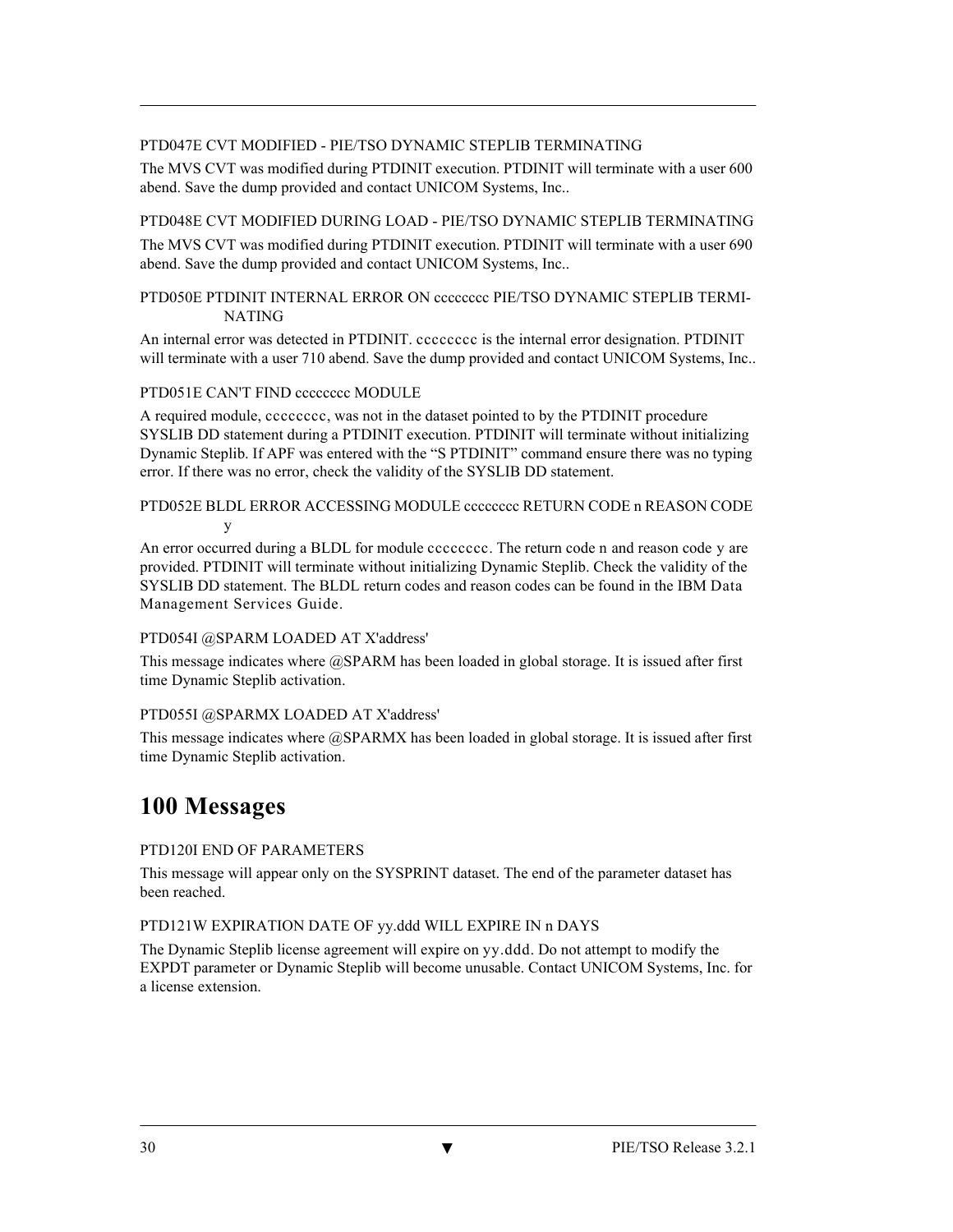#### PTD047E CVT MODIFIED - PIE/TSO DYNAMIC STEPLIB TERMINATING

The MVS CVT was modified during PTDINIT execution. PTDINIT will terminate with a user 600 abend. Save the dump provided and contact UNICOM Systems, Inc..

#### PTD048E CVT MODIFIED DURING LOAD - PIE/TSO DYNAMIC STEPLIB TERMINATING

The MVS CVT was modified during PTDINIT execution. PTDINIT will terminate with a user 690 abend. Save the dump provided and contact UNICOM Systems, Inc..

#### PTD050E PTDINIT INTERNAL ERROR ON cccccccc PIE/TSO DYNAMIC STEPLIB TERMI-NATING

An internal error was detected in PTDINIT. cccccccc is the internal error designation. PTDINIT will terminate with a user 710 abend. Save the dump provided and contact UNICOM Systems, Inc..

#### PTD051E CAN'T FIND cccccccc MODULE

A required module, cccccccc, was not in the dataset pointed to by the PTDINIT procedure SYSLIB DD statement during a PTDINIT execution. PTDINIT will terminate without initializing Dynamic Steplib. If APF was entered with the "S PTDINIT" command ensure there was no typing error. If there was no error, check the validity of the SYSLIB DD statement.

#### PTD052E BLDL ERROR ACCESSING MODULE cccccccc RETURN CODE n REASON CODE y

An error occurred during a BLDL for module cccccccc. The return code n and reason code y are provided. PTDINIT will terminate without initializing Dynamic Steplib. Check the validity of the SYSLIB DD statement. The BLDL return codes and reason codes can be found in the IBM Data Management Services Guide.

#### PTD054I @SPARM LOADED AT X'address'

This message indicates where @SPARM has been loaded in global storage. It is issued after first time Dynamic Steplib activation.

#### PTD055I @SPARMX LOADED AT X'address'

This message indicates where @SPARMX has been loaded in global storage. It is issued after first time Dynamic Steplib activation.

### **100 Messages**

#### PTD120I END OF PARAMETERS

This message will appear only on the SYSPRINT dataset. The end of the parameter dataset has been reached.

#### PTD121W EXPIRATION DATE OF yy.ddd WILL EXPIRE IN n DAYS

The Dynamic Steplib license agreement will expire on yy.ddd. Do not attempt to modify the EXPDT parameter or Dynamic Steplib will become unusable. Contact UNICOM Systems, Inc. for a license extension.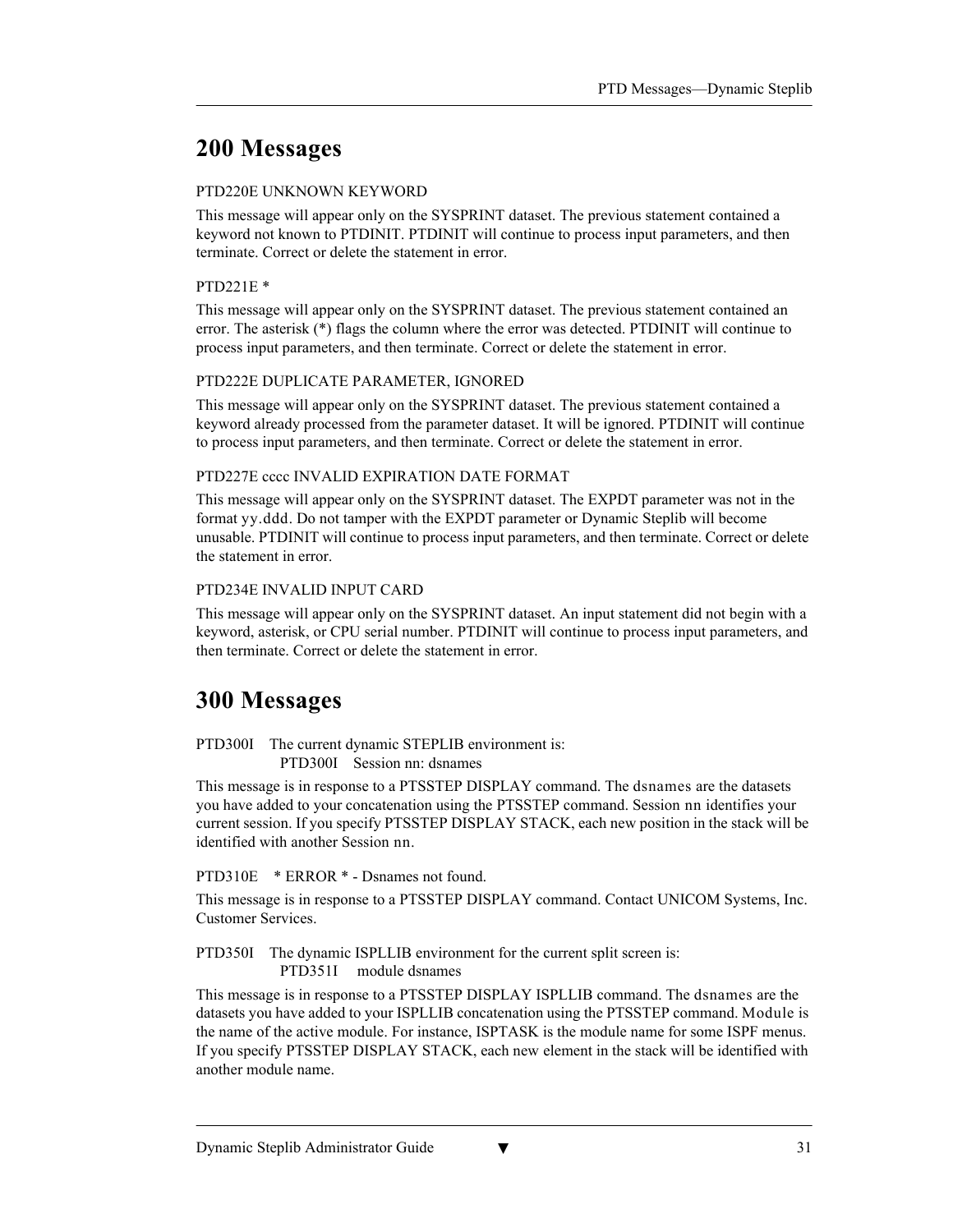## **200 Messages**

#### PTD220E UNKNOWN KEYWORD

This message will appear only on the SYSPRINT dataset. The previous statement contained a keyword not known to PTDINIT. PTDINIT will continue to process input parameters, and then terminate. Correct or delete the statement in error.

#### PTD221E \*

This message will appear only on the SYSPRINT dataset. The previous statement contained an error. The asterisk (\*) flags the column where the error was detected. PTDINIT will continue to process input parameters, and then terminate. Correct or delete the statement in error.

#### PTD222E DUPLICATE PARAMETER, IGNORED

This message will appear only on the SYSPRINT dataset. The previous statement contained a keyword already processed from the parameter dataset. It will be ignored. PTDINIT will continue to process input parameters, and then terminate. Correct or delete the statement in error.

#### PTD227E cccc INVALID EXPIRATION DATE FORMAT

This message will appear only on the SYSPRINT dataset. The EXPDT parameter was not in the format yy.ddd. Do not tamper with the EXPDT parameter or Dynamic Steplib will become unusable. PTDINIT will continue to process input parameters, and then terminate. Correct or delete the statement in error.

#### PTD234E INVALID INPUT CARD

This message will appear only on the SYSPRINT dataset. An input statement did not begin with a keyword, asterisk, or CPU serial number. PTDINIT will continue to process input parameters, and then terminate. Correct or delete the statement in error.

### **300 Messages**

PTD300I The current dynamic STEPLIB environment is: PTD300I Session nn: dsnames

This message is in response to a PTSSTEP DISPLAY command. The dsnames are the datasets you have added to your concatenation using the PTSSTEP command. Session nn identifies your current session. If you specify PTSSTEP DISPLAY STACK, each new position in the stack will be identified with another Session nn.

#### PTD310E \* ERROR \* - Dsnames not found.

This message is in response to a PTSSTEP DISPLAY command. Contact UNICOM Systems, Inc. Customer Services.

PTD350I The dynamic ISPLLIB environment for the current split screen is: PTD351I module dsnames

This message is in response to a PTSSTEP DISPLAY ISPLLIB command. The dsnames are the datasets you have added to your ISPLLIB concatenation using the PTSSTEP command. Module is the name of the active module. For instance, ISPTASK is the module name for some ISPF menus. If you specify PTSSTEP DISPLAY STACK, each new element in the stack will be identified with another module name.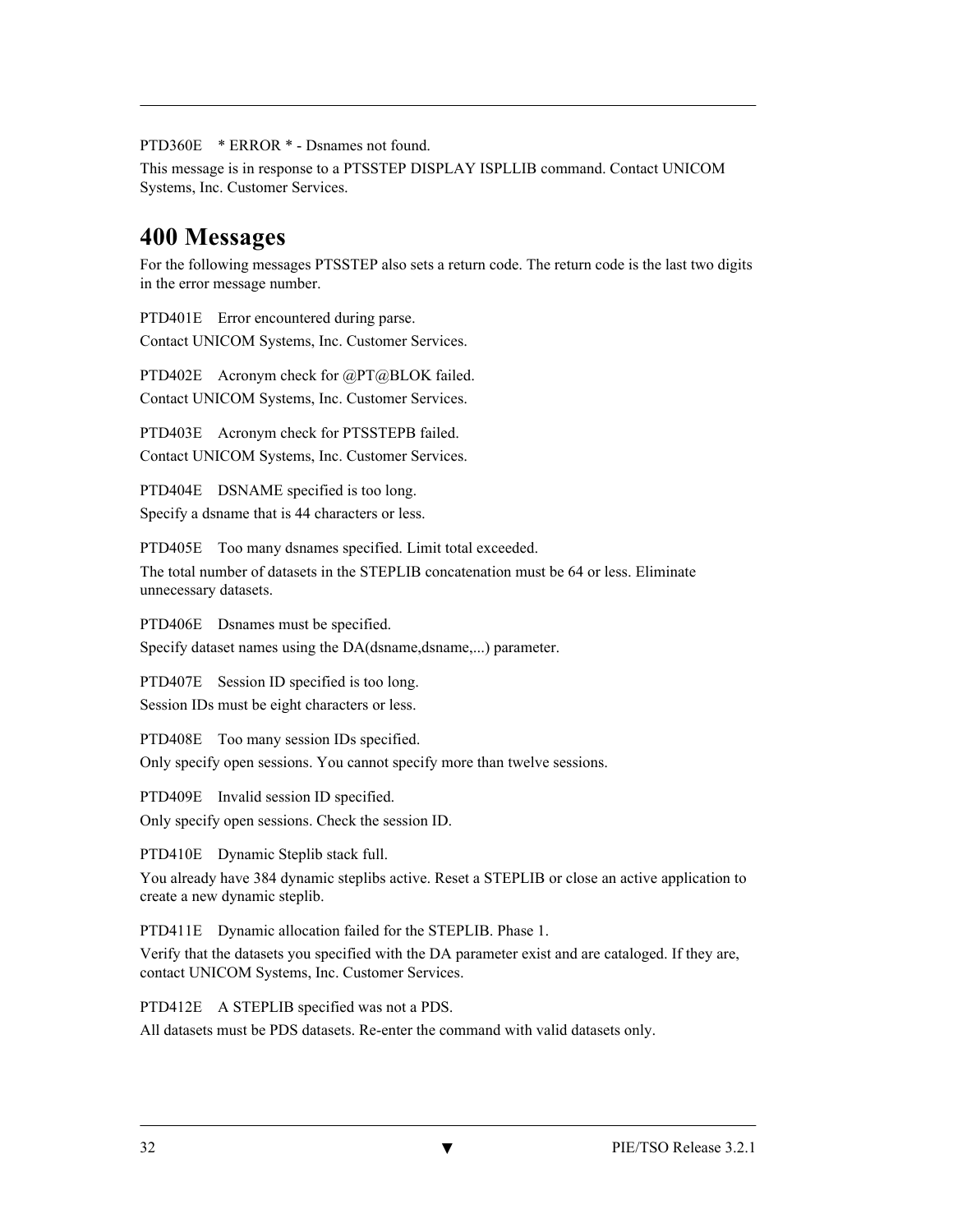PTD360E \* ERROR \* - Dsnames not found.

This message is in response to a PTSSTEP DISPLAY ISPLLIB command. Contact UNICOM Systems, Inc. Customer Services.

### **400 Messages**

For the following messages PTSSTEP also sets a return code. The return code is the last two digits in the error message number.

PTD401E Error encountered during parse. Contact UNICOM Systems, Inc. Customer Services.

PTD402E Acronym check for @PT@BLOK failed. Contact UNICOM Systems, Inc. Customer Services.

PTD403E Acronym check for PTSSTEPB failed. Contact UNICOM Systems, Inc. Customer Services.

PTD404E DSNAME specified is too long. Specify a dsname that is 44 characters or less.

PTD405E Too many dsnames specified. Limit total exceeded. The total number of datasets in the STEPLIB concatenation must be 64 or less. Eliminate unnecessary datasets.

PTD406E Dsnames must be specified. Specify dataset names using the DA(dsname, dsname,...) parameter.

PTD407E Session ID specified is too long. Session IDs must be eight characters or less.

PTD408E Too many session IDs specified.

Only specify open sessions. You cannot specify more than twelve sessions.

PTD409E Invalid session ID specified. Only specify open sessions. Check the session ID.

PTD410E Dynamic Steplib stack full.

You already have 384 dynamic steplibs active. Reset a STEPLIB or close an active application to create a new dynamic steplib.

PTD411E Dynamic allocation failed for the STEPLIB. Phase 1.

Verify that the datasets you specified with the DA parameter exist and are cataloged. If they are, contact UNICOM Systems, Inc. Customer Services.

PTD412E A STEPLIB specified was not a PDS.

All datasets must be PDS datasets. Re-enter the command with valid datasets only.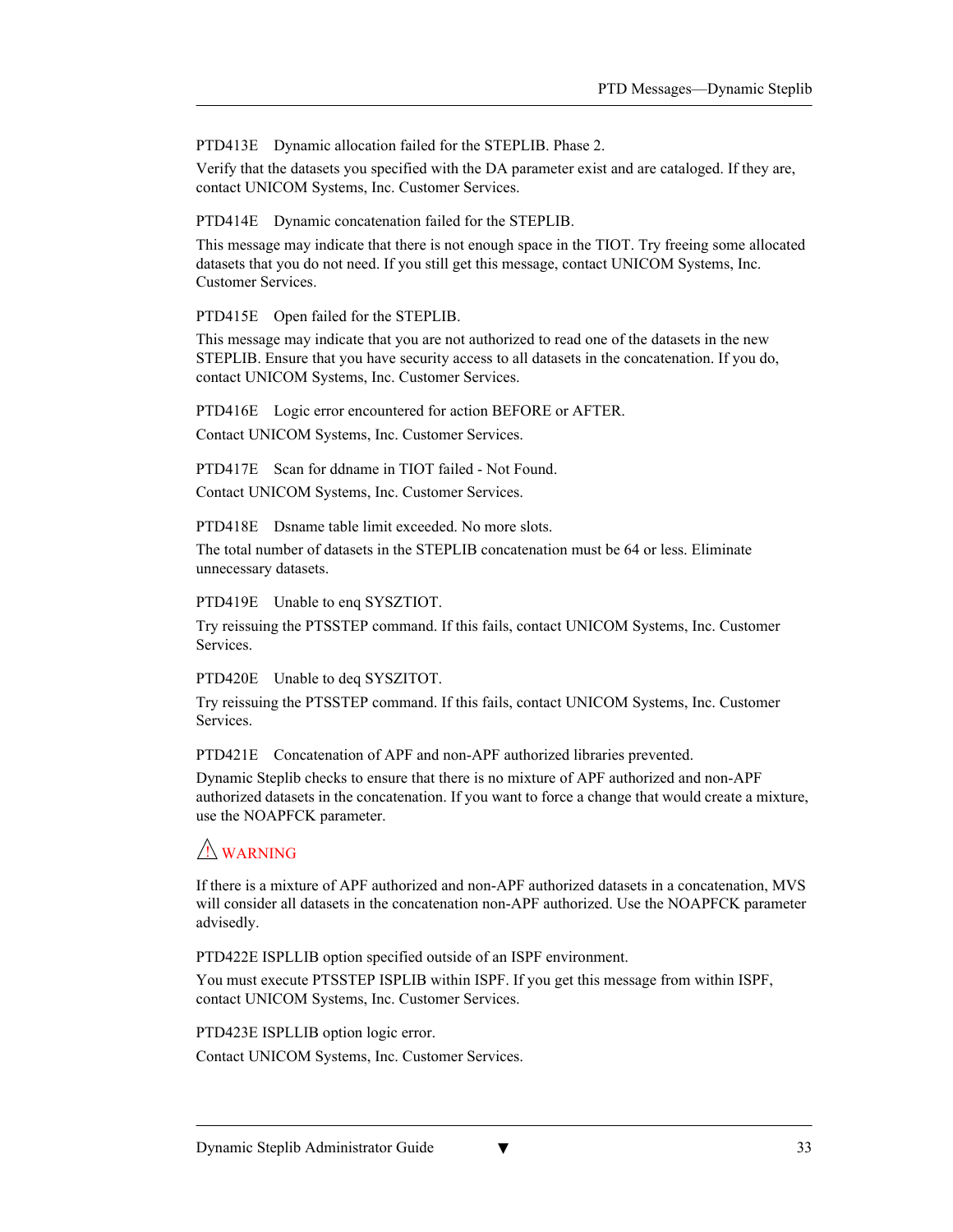PTD413E Dynamic allocation failed for the STEPLIB. Phase 2.

Verify that the datasets you specified with the DA parameter exist and are cataloged. If they are, contact UNICOM Systems, Inc. Customer Services.

PTD414E Dynamic concatenation failed for the STEPLIB.

This message may indicate that there is not enough space in the TIOT. Try freeing some allocated datasets that you do not need. If you still get this message, contact UNICOM Systems, Inc. Customer Services.

PTD415E Open failed for the STEPLIB.

This message may indicate that you are not authorized to read one of the datasets in the new STEPLIB. Ensure that you have security access to all datasets in the concatenation. If you do, contact UNICOM Systems, Inc. Customer Services.

PTD416E Logic error encountered for action BEFORE or AFTER. Contact UNICOM Systems, Inc. Customer Services.

PTD417E Scan for ddname in TIOT failed - Not Found. Contact UNICOM Systems, Inc. Customer Services.

PTD418E Dsname table limit exceeded. No more slots.

The total number of datasets in the STEPLIB concatenation must be 64 or less. Eliminate unnecessary datasets.

PTD419E Unable to enq SYSZTIOT.

Try reissuing the PTSSTEP command. If this fails, contact UNICOM Systems, Inc. Customer Services.

PTD420E Unable to deq SYSZITOT.

Try reissuing the PTSSTEP command. If this fails, contact UNICOM Systems, Inc. Customer Services.

PTD421E Concatenation of APF and non-APF authorized libraries prevented.

Dynamic Steplib checks to ensure that there is no mixture of APF authorized and non-APF authorized datasets in the concatenation. If you want to force a change that would create a mixture, use the NOAPFCK parameter.

### $\sqrt{N}$  WARNING

If there is a mixture of APF authorized and non-APF authorized datasets in a concatenation, MVS will consider all datasets in the concatenation non-APF authorized. Use the NOAPFCK parameter advisedly.

PTD422E ISPLLIB option specified outside of an ISPF environment.

You must execute PTSSTEP ISPLIB within ISPF. If you get this message from within ISPF, contact UNICOM Systems, Inc. Customer Services.

PTD423E ISPLLIB option logic error.

Contact UNICOM Systems, Inc. Customer Services.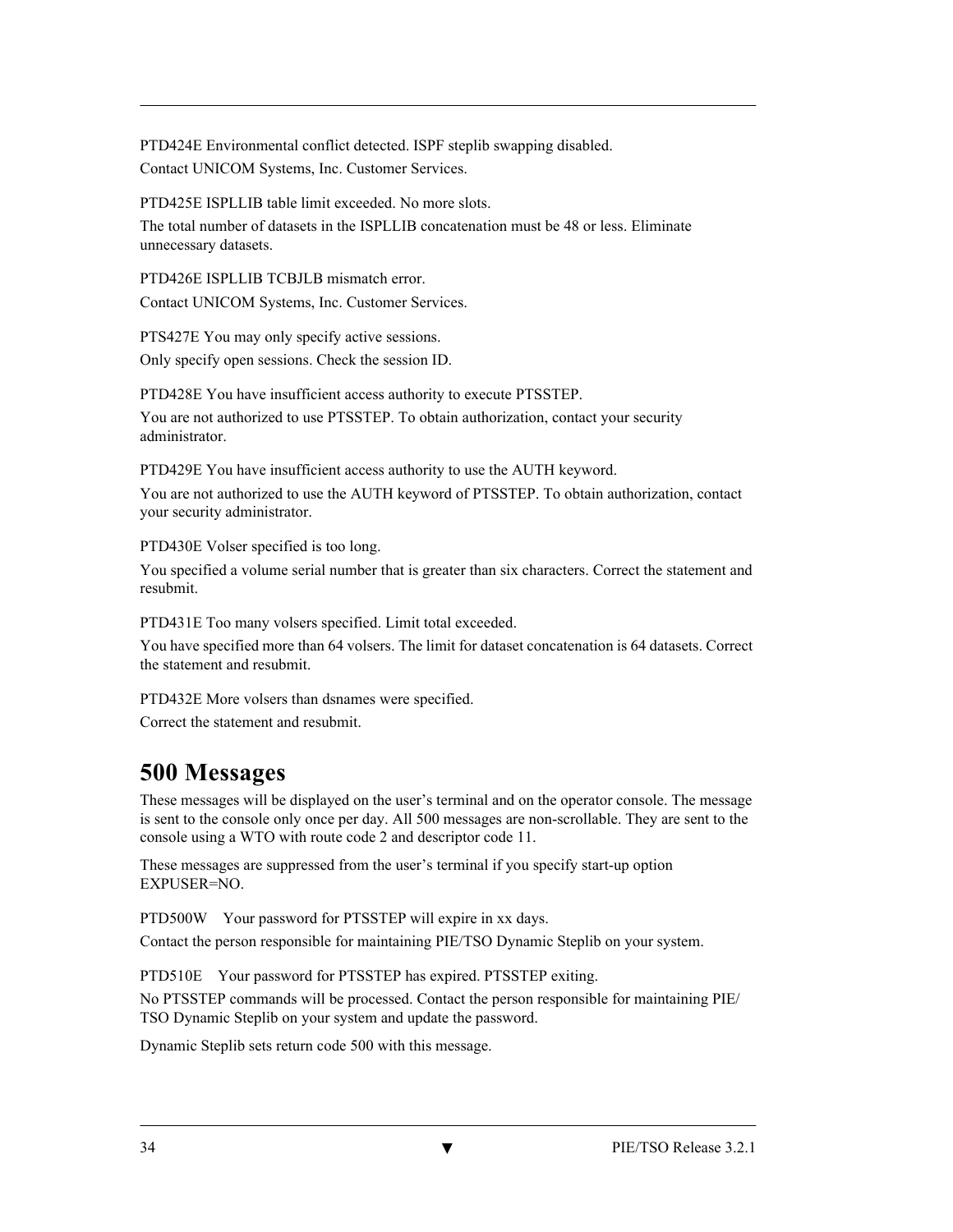PTD424E Environmental conflict detected. ISPF steplib swapping disabled. Contact UNICOM Systems, Inc. Customer Services.

PTD425E ISPLLIB table limit exceeded. No more slots.

The total number of datasets in the ISPLLIB concatenation must be 48 or less. Eliminate unnecessary datasets.

PTD426E ISPLLIB TCBJLB mismatch error. Contact UNICOM Systems, Inc. Customer Services.

PTS427E You may only specify active sessions. Only specify open sessions. Check the session ID.

PTD428E You have insufficient access authority to execute PTSSTEP. You are not authorized to use PTSSTEP. To obtain authorization, contact your security administrator.

PTD429E You have insufficient access authority to use the AUTH keyword.

You are not authorized to use the AUTH keyword of PTSSTEP. To obtain authorization, contact your security administrator.

PTD430E Volser specified is too long.

You specified a volume serial number that is greater than six characters. Correct the statement and resubmit.

PTD431E Too many volsers specified. Limit total exceeded.

You have specified more than 64 volsers. The limit for dataset concatenation is 64 datasets. Correct the statement and resubmit.

PTD432E More volsers than dsnames were specified.

Correct the statement and resubmit.

## **500 Messages**

These messages will be displayed on the user's terminal and on the operator console. The message is sent to the console only once per day. All 500 messages are non-scrollable. They are sent to the console using a WTO with route code 2 and descriptor code 11.

These messages are suppressed from the user's terminal if you specify start-up option EXPUSER=NO.

PTD500W Your password for PTSSTEP will expire in xx days.

Contact the person responsible for maintaining PIE/TSO Dynamic Steplib on your system.

PTD510E Your password for PTSSTEP has expired. PTSSTEP exiting.

No PTSSTEP commands will be processed. Contact the person responsible for maintaining PIE/ TSO Dynamic Steplib on your system and update the password.

Dynamic Steplib sets return code 500 with this message.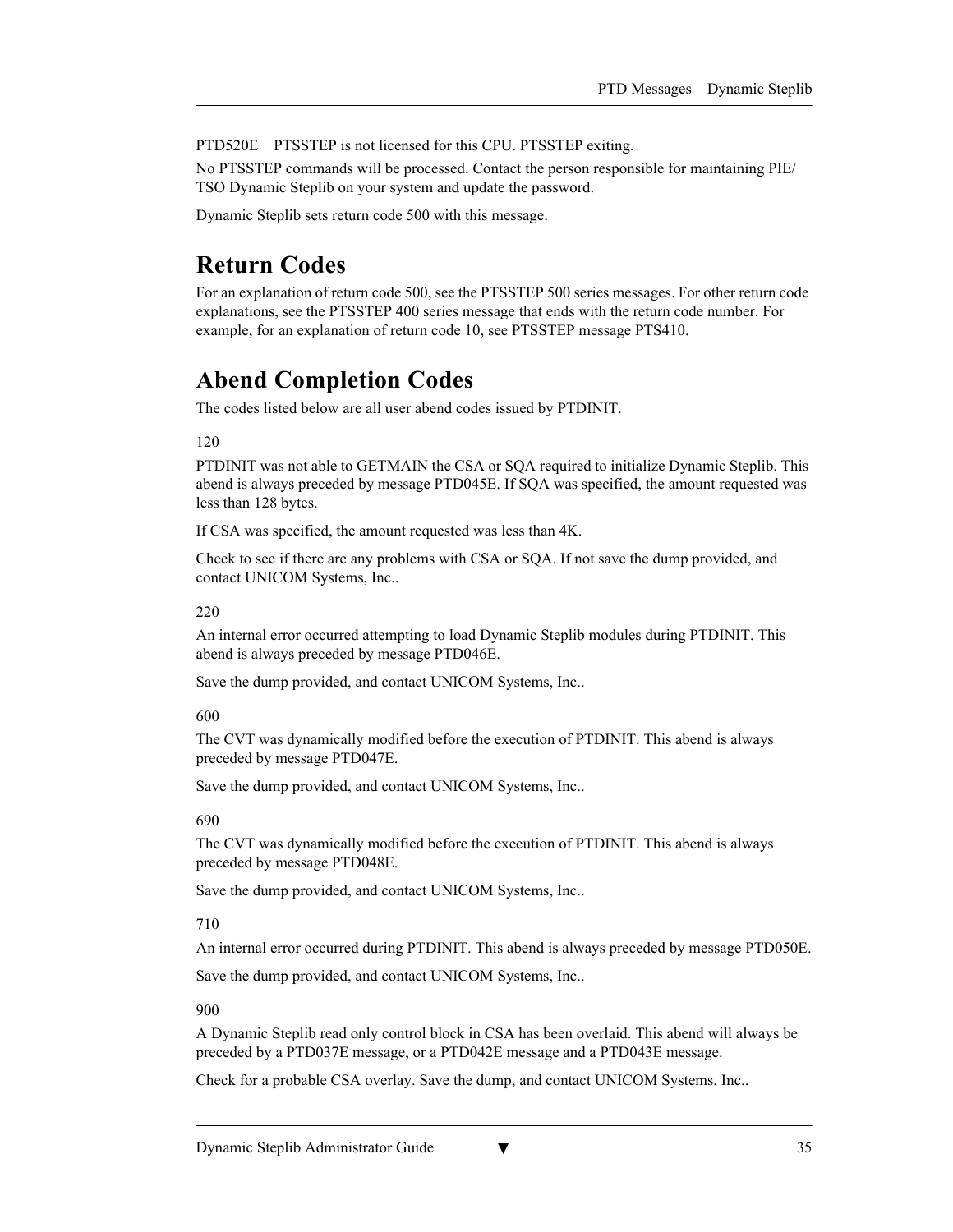PTD520E PTSSTEP is not licensed for this CPU. PTSSTEP exiting.

No PTSSTEP commands will be processed. Contact the person responsible for maintaining PIE/ TSO Dynamic Steplib on your system and update the password.

Dynamic Steplib sets return code 500 with this message.

### **Return Codes**

For an explanation of return code 500, see the PTSSTEP 500 series messages. For other return code explanations, see the PTSSTEP 400 series message that ends with the return code number. For example, for an explanation of return code 10, see PTSSTEP message PTS410.

### **Abend Completion Codes**

The codes listed below are all user abend codes issued by PTDINIT.

120

PTDINIT was not able to GETMAIN the CSA or SQA required to initialize Dynamic Steplib. This abend is always preceded by message PTD045E. If SQA was specified, the amount requested was less than 128 bytes.

If CSA was specified, the amount requested was less than 4K.

Check to see if there are any problems with CSA or SQA. If not save the dump provided, and contact UNICOM Systems, Inc..

220

An internal error occurred attempting to load Dynamic Steplib modules during PTDINIT. This abend is always preceded by message PTD046E.

Save the dump provided, and contact UNICOM Systems, Inc..

600

The CVT was dynamically modified before the execution of PTDINIT. This abend is always preceded by message PTD047E.

Save the dump provided, and contact UNICOM Systems, Inc..

#### 690

The CVT was dynamically modified before the execution of PTDINIT. This abend is always preceded by message PTD048E.

Save the dump provided, and contact UNICOM Systems, Inc..

#### 710

An internal error occurred during PTDINIT. This abend is always preceded by message PTD050E.

Save the dump provided, and contact UNICOM Systems, Inc..

#### 900

A Dynamic Steplib read only control block in CSA has been overlaid. This abend will always be preceded by a PTD037E message, or a PTD042E message and a PTD043E message.

Check for a probable CSA overlay. Save the dump, and contact UNICOM Systems, Inc..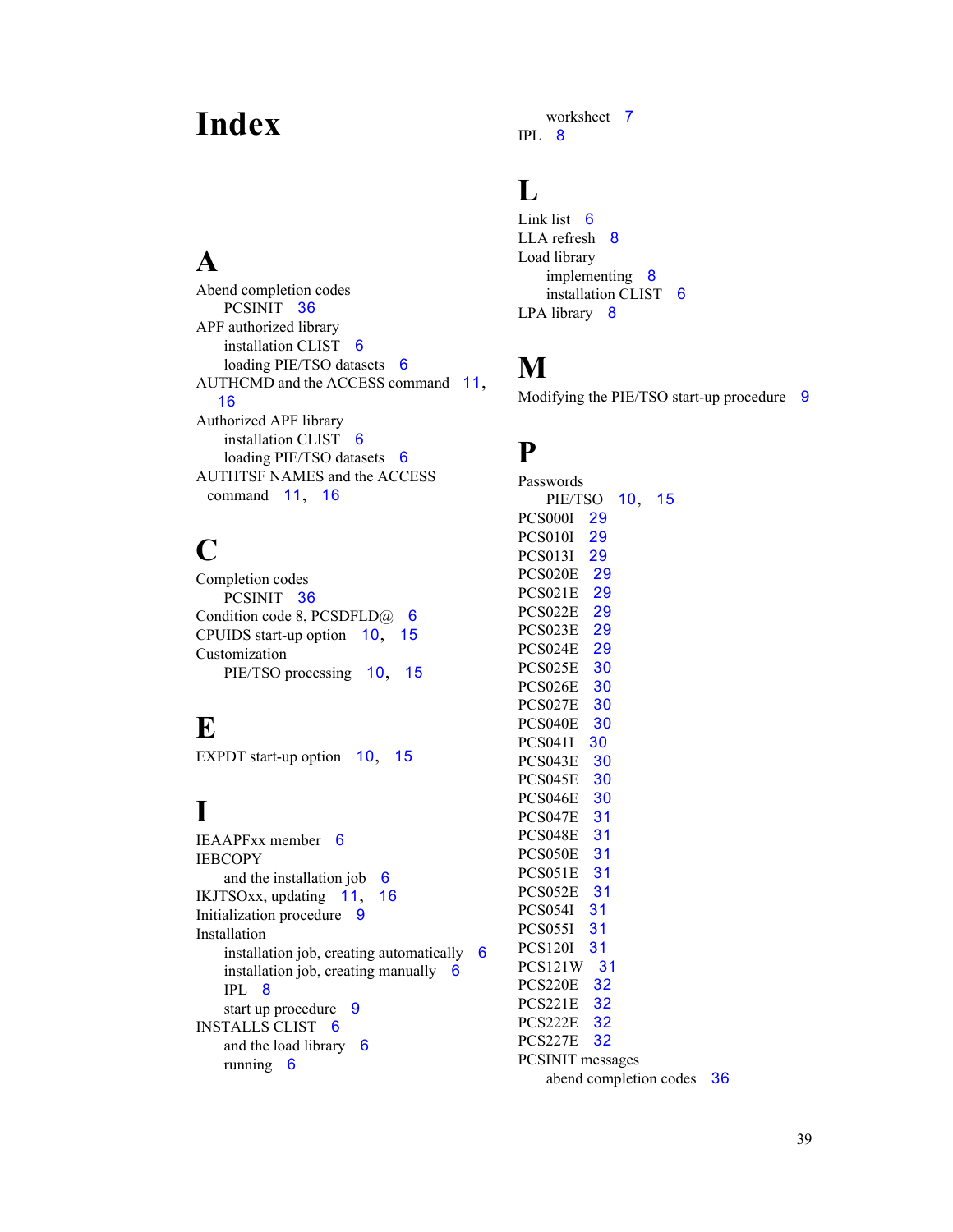# **Index**

# **A**

Abend completion codes PCSINIT 36 APF authorized library installation CLIST 6 loading PIE/TSO datasets 6 AUTHCMD and the ACCESS command 11, 16 Authorized APF library installation CLIST 6 loading PIE/TSO datasets 6 AUTHTSF NAMES and the ACCESS command 11, 16

# **C**

Completion codes PCSINIT 36 Condition code 8, PCSDFLD@ 6 CPUIDS start-up option 10, 15 Customization PIE/TSO processing 10, 15

# **E**

EXPDT start-up option 10, 15

# **I**

IEAAPFxx member 6 IEBCOPY and the installation job 6 IKJTSOxx, updating 11, 16 Initialization procedure 9 Installation installation job, creating automatically  $\theta$ installation job, creating manually  $6$ IPL 8 start up procedure 9 INSTALLS CLIST 6 and the load library 6 running 6

worksheet 7 IPL 8

# **L**

```
Link list 6
LLA refresh 8Load library
   implementing 8
    installation CLIST 6
LPA library 8
```
# **M**

Modifying the PIE/TSO start-up procedure 9

## **P**

Passwords PIE/TSO 10, 15 PCS000I 29 PCS010I 29 PCS013I 29 PCS020E 29 PCS021E 29 PCS022E 29 PCS023E 29 PCS024E 29 PCS025E 30 PCS026E 30 PCS027E 30 PCS040E 30 PCS041I 30 PCS043E 30 PCS045E 30 PCS046E 30 PCS047E 31 PCS048E 31 PCS050E 31 PCS051E 31 PCS052E 31 PCS054I 31 PCS055I 31 PCS120I 31 PCS121W 31 PCS220E 32 PCS221E 32 PCS222E 32 PCS227E 32 PCSINIT messages abend completion codes 36